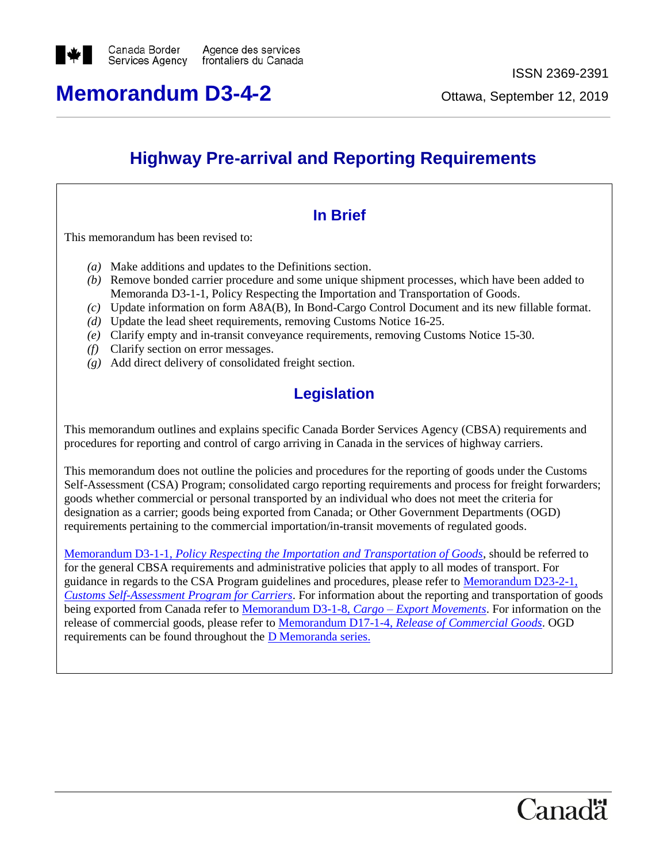

# **Memorandum D3-4-2** Ottawa, September 12, 2019

# **Highway Pre-arrival and Reporting Requirements**

# **In Brief**

This memorandum has been revised to:

- *(a)* Make additions and updates to the Definitions section.
- *(b)* Remove bonded carrier procedure and some unique shipment processes, which have been added to Memoranda D3-1-1, Policy Respecting the Importation and Transportation of Goods.
- *(c)* Update information on form A8A(B), In Bond-Cargo Control Document and its new fillable format.
- *(d)* Update the lead sheet requirements, removing Customs Notice 16-25.
- *(e)* Clarify empty and in-transit conveyance requirements, removing Customs Notice 15-30.
- *(f)* Clarify section on error messages.
- *(g)* Add direct delivery of consolidated freight section.

# **Legislation**

This memorandum outlines and explains specific Canada Border Services Agency (CBSA) requirements and procedures for reporting and control of cargo arriving in Canada in the services of highway carriers.

This memorandum does not outline the policies and procedures for the reporting of goods under the Customs Self-Assessment (CSA) Program; consolidated cargo reporting requirements and process for freight forwarders; goods whether commercial or personal transported by an individual who does not meet the criteria for designation as a carrier; goods being exported from Canada; or Other Government Departments (OGD) requirements pertaining to the commercial importation/in-transit movements of regulated goods.

Memorandum D3-1-1, *[Policy Respecting the Importation and Transportation of Goods](http://www.cbsa-asfc.gc.ca/publications/dm-md/d3/d3-1-1-eng.html)*, should be referred to for the general CBSA requirements and administrative policies that apply to all modes of transport. For guidance in regards to the CSA Program guidelines and procedures, please refer to [Memorandum D23-2-1](http://www.cbsa-asfc.gc.ca/publications/dm-md/d23/d23-2-1-eng.html)*, [Customs Self-Assessment Program for Carriers](http://www.cbsa-asfc.gc.ca/publications/dm-md/d23/d23-2-1-eng.html)*. For information about the reporting and transportation of goods being exported from Canada refer to [Memorandum D3-1-8,](http://www.cbsa-asfc.gc.ca/publications/dm-md/d3/d3-1-8-eng.html) *Cargo – Export Movements*. For information on the release of commercial goods, please refer to Memorandum D17-1-4, *[Release of Commercial Goods](http://www.cbsa-asfc.gc.ca/publications/dm-md/d17/d17-1-4-eng.html)*. OGD requirements can be found throughout the [D Memoranda series.](http://www.cbsa-asfc.gc.ca/publications/dm-md/menu-eng.html)

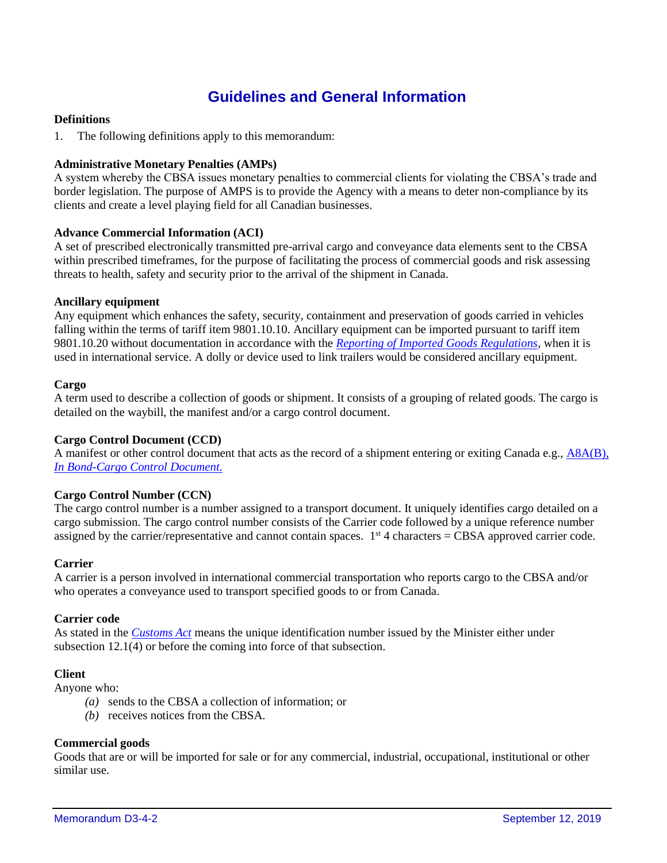## **Guidelines and General Information**

## **Definitions**

1. The following definitions apply to this memorandum:

## **Administrative Monetary Penalties (AMPs)**

A system whereby the CBSA issues monetary penalties to commercial clients for violating the CBSA's trade and border legislation. The purpose of AMPS is to provide the Agency with a means to deter non-compliance by its clients and create a level playing field for all Canadian businesses.

## **Advance Commercial Information (ACI)**

A set of prescribed electronically transmitted pre-arrival cargo and conveyance data elements sent to the CBSA within prescribed timeframes, for the purpose of facilitating the process of commercial goods and risk assessing threats to health, safety and security prior to the arrival of the shipment in Canada.

## **Ancillary equipment**

Any equipment which enhances the safety, security, containment and preservation of goods carried in vehicles falling within the terms of tariff item 9801.10.10. Ancillary equipment can be imported pursuant to tariff item 9801.10.20 without documentation in accordance with the *[Reporting of Imported Goods Regulations](http://laws-lois.justice.gc.ca/eng/regulations/SOR-86-873/page-1.html)*, when it is used in international service. A dolly or device used to link trailers would be considered ancillary equipment.

#### **Cargo**

A term used to describe a collection of goods or shipment. It consists of a grouping of related goods. The cargo is detailed on the waybill, the manifest and/or a cargo control document.

## **Cargo Control Document (CCD)**

A manifest or other control document that acts as the record of a shipment entering or exiting Canada e.g., [A8A\(B\),](https://www.cbsa-asfc.gc.ca/publications/forms-formulaires/a8a-b-eng.html)  *[In Bond-Cargo Control Document.](https://www.cbsa-asfc.gc.ca/publications/forms-formulaires/a8a-b-eng.html)*

## **Cargo Control Number (CCN)**

The cargo control number is a number assigned to a transport document. It uniquely identifies cargo detailed on a cargo submission. The cargo control number consists of the Carrier code followed by a unique reference number assigned by the carrier/representative and cannot contain spaces.  $1<sup>st</sup>$  4 characters = CBSA approved carrier code.

#### **Carrier**

A carrier is a person involved in international commercial transportation who reports cargo to the CBSA and/or who operates a conveyance used to transport specified goods to or from Canada.

#### **Carrier code**

As stated in the *[Customs Act](http://laws-lois.justice.gc.ca/eng/acts/C-52.6/FullText.html)* means the unique identification number issued by the Minister either under subsection 12.1(4) or before the coming into force of that subsection.

## **Client**

Anyone who:

- *(a)* sends to the CBSA a collection of information; or
- *(b)* receives notices from the CBSA.

#### **Commercial goods**

Goods that are or will be imported for sale or for any commercial, industrial, occupational, institutional or other similar use.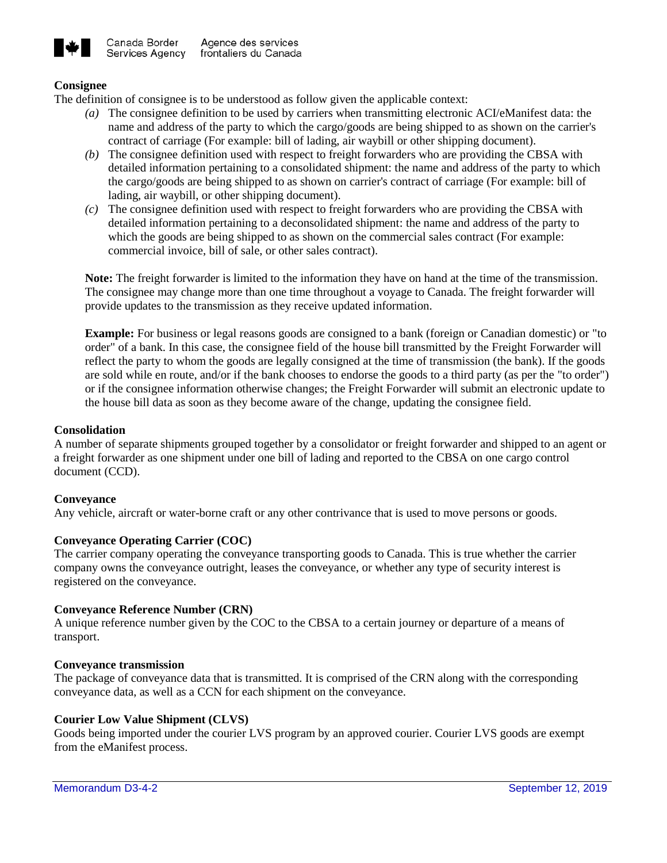

## **Consignee**

The definition of consignee is to be understood as follow given the applicable context:

- *(a)* The consignee definition to be used by carriers when transmitting electronic ACI/eManifest data: the name and address of the party to which the cargo/goods are being shipped to as shown on the carrier's contract of carriage (For example: bill of lading, air waybill or other shipping document).
- *(b)* The consignee definition used with respect to freight forwarders who are providing the CBSA with detailed information pertaining to a consolidated shipment: the name and address of the party to which the cargo/goods are being shipped to as shown on carrier's contract of carriage (For example: bill of lading, air waybill, or other shipping document).
- *(c)* The consignee definition used with respect to freight forwarders who are providing the CBSA with detailed information pertaining to a deconsolidated shipment: the name and address of the party to which the goods are being shipped to as shown on the commercial sales contract (For example: commercial invoice, bill of sale, or other sales contract).

**Note:** The freight forwarder is limited to the information they have on hand at the time of the transmission. The consignee may change more than one time throughout a voyage to Canada. The freight forwarder will provide updates to the transmission as they receive updated information.

**Example:** For business or legal reasons goods are consigned to a bank (foreign or Canadian domestic) or "to order" of a bank. In this case, the consignee field of the house bill transmitted by the Freight Forwarder will reflect the party to whom the goods are legally consigned at the time of transmission (the bank). If the goods are sold while en route, and/or if the bank chooses to endorse the goods to a third party (as per the "to order") or if the consignee information otherwise changes; the Freight Forwarder will submit an electronic update to the house bill data as soon as they become aware of the change, updating the consignee field.

## **Consolidation**

A number of separate shipments grouped together by a consolidator or freight forwarder and shipped to an agent or a freight forwarder as one shipment under one bill of lading and reported to the CBSA on one cargo control document (CCD).

#### **Conveyance**

Any vehicle, aircraft or water-borne craft or any other contrivance that is used to move persons or goods.

## **Conveyance Operating Carrier (COC)**

The carrier company operating the conveyance transporting goods to Canada. This is true whether the carrier company owns the conveyance outright, leases the conveyance, or whether any type of security interest is registered on the conveyance.

#### **Conveyance Reference Number (CRN)**

A unique reference number given by the COC to the CBSA to a certain journey or departure of a means of transport.

#### **Conveyance transmission**

The package of conveyance data that is transmitted. It is comprised of the CRN along with the corresponding conveyance data, as well as a CCN for each shipment on the conveyance.

#### **Courier Low Value Shipment (CLVS)**

Goods being imported under the courier LVS program by an approved courier. Courier LVS goods are exempt from the eManifest process.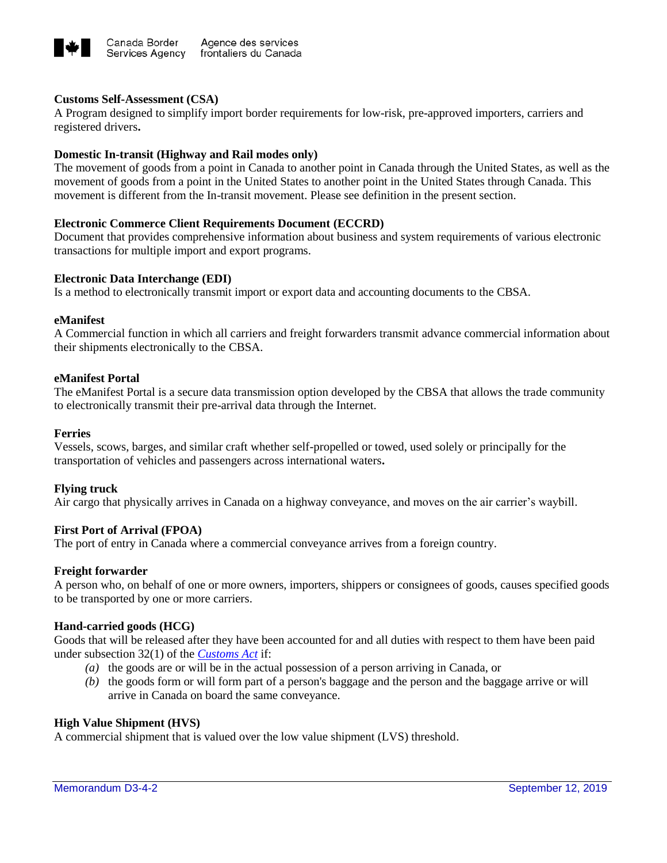

## **Customs Self-Assessment (CSA)**

A Program designed to simplify import border requirements for low-risk, pre-approved importers, carriers and registered drivers**.**

## **Domestic In-transit (Highway and Rail modes only)**

The movement of goods from a point in Canada to another point in Canada through the United States, as well as the movement of goods from a point in the United States to another point in the United States through Canada. This movement is different from the In-transit movement. Please see definition in the present section.

## **Electronic Commerce Client Requirements Document (ECCRD)**

Document that provides comprehensive information about business and system requirements of various electronic transactions for multiple import and export programs.

## **Electronic Data Interchange (EDI)**

Is a method to electronically transmit import or export data and accounting documents to the CBSA.

#### **eManifest**

A Commercial function in which all carriers and freight forwarders transmit advance commercial information about their shipments electronically to the CBSA.

## **eManifest Portal**

The eManifest Portal is a secure data transmission option developed by the CBSA that allows the trade community to electronically transmit their pre-arrival data through the Internet.

#### **Ferries**

Vessels, scows, barges, and similar craft whether self-propelled or towed, used solely or principally for the transportation of vehicles and passengers across international waters**.**

#### **Flying truck**

Air cargo that physically arrives in Canada on a highway conveyance, and moves on the air carrier's waybill.

#### **First Port of Arrival (FPOA)**

The port of entry in Canada where a commercial conveyance arrives from a foreign country.

#### **Freight forwarder**

A person who, on behalf of one or more owners, importers, shippers or consignees of goods, causes specified goods to be transported by one or more carriers.

#### **Hand-carried goods (HCG)**

Goods that will be released after they have been accounted for and all duties with respect to them have been paid under subsection 32(1) of the *[Customs Act](http://laws-lois.justice.gc.ca/eng/acts/C-52.6/FullText.html)* if:

- *(a)* the goods are or will be in the actual possession of a person arriving in Canada, or
- *(b)* the goods form or will form part of a person's baggage and the person and the baggage arrive or will arrive in Canada on board the same conveyance.

#### **High Value Shipment (HVS)**

A commercial shipment that is valued over the low value shipment (LVS) threshold.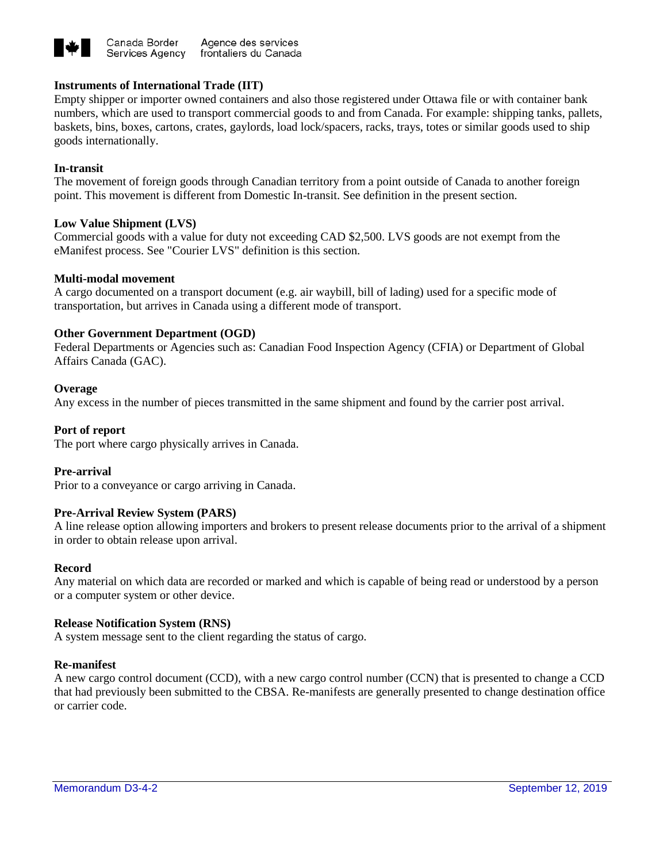

## **Instruments of International Trade (IIT)**

Empty shipper or importer owned containers and also those registered under Ottawa file or with container bank numbers, which are used to transport commercial goods to and from Canada. For example: shipping tanks, pallets, baskets, bins, boxes, cartons, crates, gaylords, load lock/spacers, racks, trays, totes or similar goods used to ship goods internationally.

## **In-transit**

The movement of foreign goods through Canadian territory from a point outside of Canada to another foreign point. This movement is different from Domestic In-transit. See definition in the present section.

## **Low Value Shipment (LVS)**

Commercial goods with a value for duty not exceeding CAD \$2,500. LVS goods are not exempt from the eManifest process. See "Courier LVS" definition is this section.

## **Multi-modal movement**

A cargo documented on a transport document (e.g. air waybill, bill of lading) used for a specific mode of transportation, but arrives in Canada using a different mode of transport.

## **Other Government Department (OGD)**

Federal Departments or Agencies such as: Canadian Food Inspection Agency (CFIA) or Department of Global Affairs Canada (GAC).

#### **Overage**

Any excess in the number of pieces transmitted in the same shipment and found by the carrier post arrival.

## **Port of report**

The port where cargo physically arrives in Canada.

#### **Pre-arrival**

Prior to a conveyance or cargo arriving in Canada.

#### **Pre-Arrival Review System (PARS)**

A line release option allowing importers and brokers to present release documents prior to the arrival of a shipment in order to obtain release upon arrival.

#### **Record**

Any material on which data are recorded or marked and which is capable of being read or understood by a person or a computer system or other device.

#### **Release Notification System (RNS)**

A system message sent to the client regarding the status of cargo.

#### **Re-manifest**

A new cargo control document (CCD), with a new cargo control number (CCN) that is presented to change a CCD that had previously been submitted to the CBSA. Re-manifests are generally presented to change destination office or carrier code.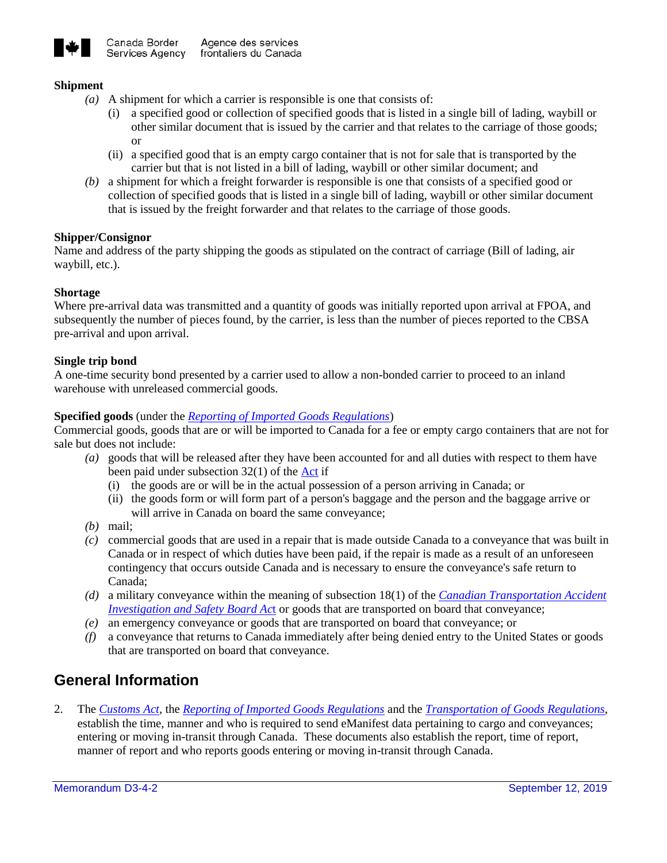

## **Shipment**

- *(a)* A shipment for which a carrier is responsible is one that consists of:
	- (i) a specified good or collection of specified goods that is listed in a single bill of lading, waybill or other similar document that is issued by the carrier and that relates to the carriage of those goods; or
	- (ii) a specified good that is an empty cargo container that is not for sale that is transported by the carrier but that is not listed in a bill of lading, waybill or other similar document; and
- *(b)* a shipment for which a freight forwarder is responsible is one that consists of a specified good or collection of specified goods that is listed in a single bill of lading, waybill or other similar document that is issued by the freight forwarder and that relates to the carriage of those goods.

## **Shipper/Consignor**

Name and address of the party shipping the goods as stipulated on the contract of carriage (Bill of lading, air waybill, etc.).

## **Shortage**

Where pre-arrival data was transmitted and a quantity of goods was initially reported upon arrival at FPOA, and subsequently the number of pieces found, by the carrier, is less than the number of pieces reported to the CBSA pre-arrival and upon arrival.

## **Single trip bond**

A one-time security bond presented by a carrier used to allow a non-bonded carrier to proceed to an inland warehouse with unreleased commercial goods.

## **Specified goods** (under the *[Reporting of Imported Goods Regulations](http://laws-lois.justice.gc.ca/eng/regulations/SOR-86-873/page-1.html)*)

Commercial goods, goods that are or will be imported to Canada for a fee or empty cargo containers that are not for sale but does not include:

- *(a)* goods that will be released after they have been accounted for and all duties with respect to them have been paid under subsection 32(1) of the [Act](http://laws-lois.justice.gc.ca/eng/acts/C-52.6/FullText.html) if
	- (i) the goods are or will be in the actual possession of a person arriving in Canada; or
	- (ii) the goods form or will form part of a person's baggage and the person and the baggage arrive or will arrive in Canada on board the same conveyance;
- *(b)* mail;
- *(c)* commercial goods that are used in a repair that is made outside Canada to a conveyance that was built in Canada or in respect of which duties have been paid, if the repair is made as a result of an unforeseen contingency that occurs outside Canada and is necessary to ensure the conveyance's safe return to Canada;
- *(d)* a military conveyance within the meaning of subsection 18(1) of the *[Canadian Transportation Accident](http://laws-lois.justice.gc.ca/eng/acts/c-23.4/FullText.html)  [Investigation and Safety Board Ac](http://laws-lois.justice.gc.ca/eng/acts/c-23.4/FullText.html)*t or goods that are transported on board that conveyance;
- *(e)* an emergency conveyance or goods that are transported on board that conveyance; or
- *(f)* a conveyance that returns to Canada immediately after being denied entry to the United States or goods that are transported on board that conveyance.

## **General Information**

2. The *[Customs Act](http://laws-lois.justice.gc.ca/eng/acts/C-52.6/FullText.html)*, the *[Reporting of Imported Goods Regulations](http://laws-lois.justice.gc.ca/eng/regulations/SOR-86-873/page-1.html)* and the *[Transportation of Goods Regulations](http://laws-lois.justice.gc.ca/eng/regulations/SOR-86-1064/FullText.html)*, establish the time, manner and who is required to send eManifest data pertaining to cargo and conveyances; entering or moving in-transit through Canada. These documents also establish the report, time of report, manner of report and who reports goods entering or moving in-transit through Canada.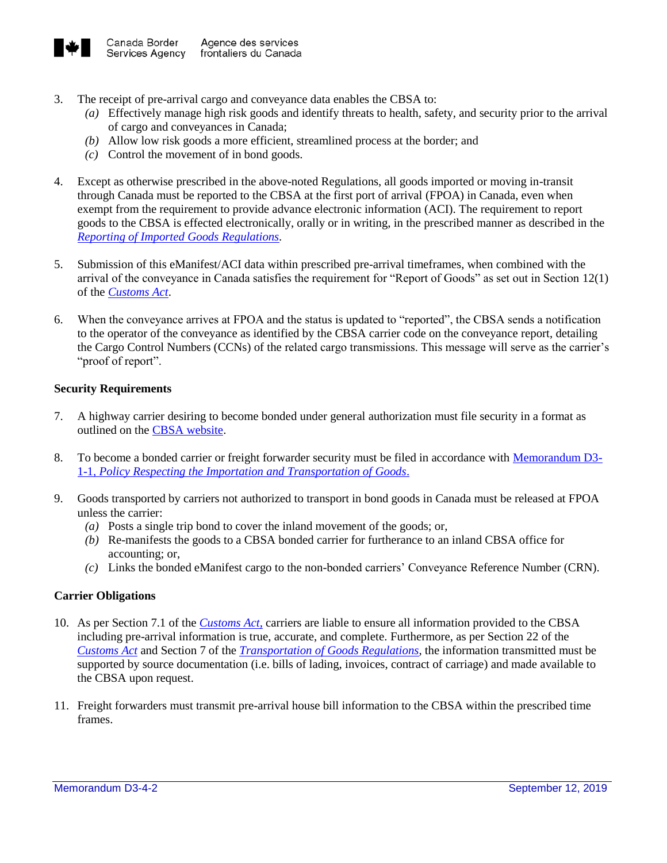

- 3. The receipt of pre-arrival cargo and conveyance data enables the CBSA to:
	- *(a)* Effectively manage high risk goods and identify threats to health, safety, and security prior to the arrival of cargo and conveyances in Canada;
	- *(b)* Allow low risk goods a more efficient, streamlined process at the border; and
	- *(c)* Control the movement of in bond goods.
- 4. Except as otherwise prescribed in the above-noted Regulations, all goods imported or moving in-transit through Canada must be reported to the CBSA at the first port of arrival (FPOA) in Canada, even when exempt from the requirement to provide advance electronic information (ACI). The requirement to report goods to the CBSA is effected electronically, orally or in writing, in the prescribed manner as described in the *[Reporting of Imported Goods Regulations.](http://laws-lois.justice.gc.ca/eng/regulations/SOR-86-873/index.html)*
- 5. Submission of this eManifest/ACI data within prescribed pre-arrival timeframes, when combined with the arrival of the conveyance in Canada satisfies the requirement for "Report of Goods" as set out in Section 12(1) of the *[Customs Act](http://laws-lois.justice.gc.ca/eng/acts/C-52.6/FullText.html)*.
- 6. When the conveyance arrives at FPOA and the status is updated to "reported", the CBSA sends a notification to the operator of the conveyance as identified by the CBSA carrier code on the conveyance report, detailing the Cargo Control Numbers (CCNs) of the related cargo transmissions. This message will serve as the carrier's "proof of report".

## **Security Requirements**

- 7. A highway carrier desiring to become bonded under general authorization must file security in a format as outlined on th[e CBSA website.](http://www.cbsa-asfc.gc.ca/services/carrier-transporteur/hc-tr-eng.html)
- 8. To become a bonded carrier or freight forwarder security must be filed in accordance wit[h Memorandum D3-](http://www.cbsa-asfc.gc.ca/publications/dm-md/d3/d3-1-1-eng.html) 1-1*[, Policy Respecting the Importation and Transportation of Goods](http://www.cbsa-asfc.gc.ca/publications/dm-md/d3/d3-1-1-eng.html)*.
- 9. Goods transported by carriers not authorized to transport in bond goods in Canada must be released at FPOA unless the carrier:
	- *(a)* Posts a single trip bond to cover the inland movement of the goods; or,
	- *(b)* Re-manifests the goods to a CBSA bonded carrier for furtherance to an inland CBSA office for accounting; or,
	- *(c)* Links the bonded eManifest cargo to the non-bonded carriers' Conveyance Reference Number (CRN).

#### **Carrier Obligations**

- 10. As per Section 7.1 of the *[Customs Act,](http://laws-lois.justice.gc.ca/eng/acts/C-52.6/index.html?noCookie)* carriers are liable to ensure all information provided to the CBSA including pre-arrival information is true, accurate, and complete. Furthermore, as per Section 22 of the *[Customs Act](http://laws-lois.justice.gc.ca/eng/acts/C-52.6/index.html?noCookie)* and Section 7 of the *[Transportation of Goods Regulations](http://laws-lois.justice.gc.ca/eng/regulations/SOR-86-1064/index.html)*, the information transmitted must be supported by source documentation (i.e. bills of lading, invoices, contract of carriage) and made available to the CBSA upon request.
- 11. Freight forwarders must transmit pre-arrival house bill information to the CBSA within the prescribed time frames.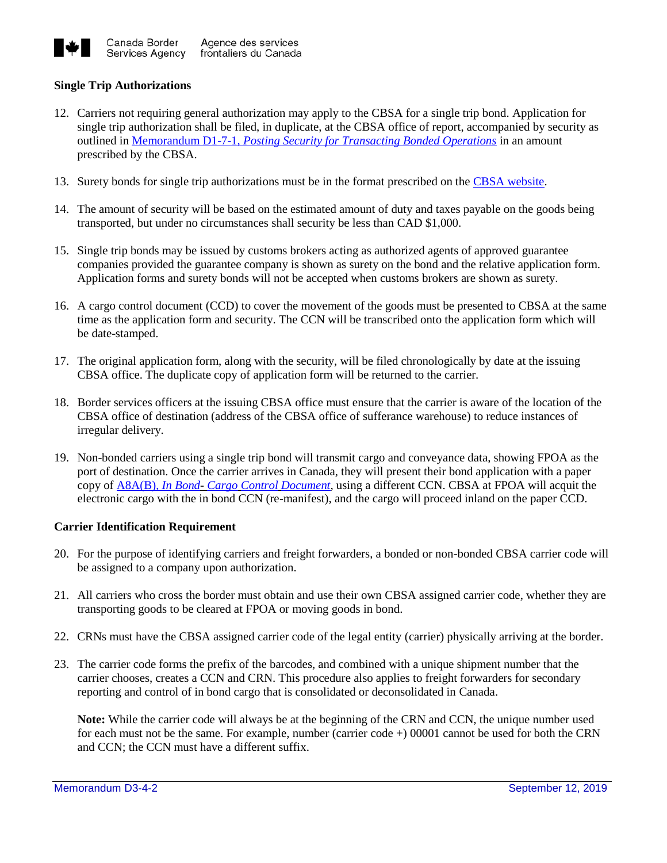

## **Single Trip Authorizations**

- 12. Carriers not requiring general authorization may apply to the CBSA for a single trip bond. Application for single trip authorization shall be filed, in duplicate, at the CBSA office of report, accompanied by security as outlined in Memorandum D1-7-1, *[Posting Security for Transacting Bonded Operations](http://www.cbsa-asfc.gc.ca/publications/dm-md/d1/d1-7-1-eng.html)* in an amount prescribed by the CBSA.
- 13. Surety bonds for single trip authorizations must be in the format prescribed on the [CBSA website.](http://www.cbsa-asfc.gc.ca/services/carrier-transporteur/hc-tr-eng.html)
- 14. The amount of security will be based on the estimated amount of duty and taxes payable on the goods being transported, but under no circumstances shall security be less than CAD \$1,000.
- 15. Single trip bonds may be issued by customs brokers acting as authorized agents of approved guarantee companies provided the guarantee company is shown as surety on the bond and the relative application form. Application forms and surety bonds will not be accepted when customs brokers are shown as surety.
- 16. A cargo control document (CCD) to cover the movement of the goods must be presented to CBSA at the same time as the application form and security. The CCN will be transcribed onto the application form which will be date-stamped.
- 17. The original application form, along with the security, will be filed chronologically by date at the issuing CBSA office. The duplicate copy of application form will be returned to the carrier.
- 18. Border services officers at the issuing CBSA office must ensure that the carrier is aware of the location of the CBSA office of destination (address of the CBSA office of sufferance warehouse) to reduce instances of irregular delivery.
- 19. Non-bonded carriers using a single trip bond will transmit cargo and conveyance data, showing FPOA as the port of destination. Once the carrier arrives in Canada, they will present their bond application with a paper copy of [A8A\(B\),](https://www.cbsa-asfc.gc.ca/publications/forms-formulaires/a8a-b-eng.html) *In Bond*- *[Cargo](https://www.cbsa-asfc.gc.ca/publications/forms-formulaires/a8a-b-eng.html) [Control](https://www.cbsa-asfc.gc.ca/publications/forms-formulaires/a8a-b-eng.html) [Document](https://www.cbsa-asfc.gc.ca/publications/forms-formulaires/a8a-b-eng.html)*, using a different CCN. CBSA at FPOA will acquit the electronic cargo with the in bond CCN (re-manifest), and the cargo will proceed inland on the paper CCD.

#### **Carrier Identification Requirement**

- 20. For the purpose of identifying carriers and freight forwarders, a bonded or non-bonded CBSA carrier code will be assigned to a company upon authorization.
- 21. All carriers who cross the border must obtain and use their own CBSA assigned carrier code, whether they are transporting goods to be cleared at FPOA or moving goods in bond.
- 22. CRNs must have the CBSA assigned carrier code of the legal entity (carrier) physically arriving at the border.
- 23. The carrier code forms the prefix of the barcodes, and combined with a unique shipment number that the carrier chooses, creates a CCN and CRN. This procedure also applies to freight forwarders for secondary reporting and control of in bond cargo that is consolidated or deconsolidated in Canada.

**Note:** While the carrier code will always be at the beginning of the CRN and CCN, the unique number used for each must not be the same. For example, number (carrier code +) 00001 cannot be used for both the CRN and CCN; the CCN must have a different suffix.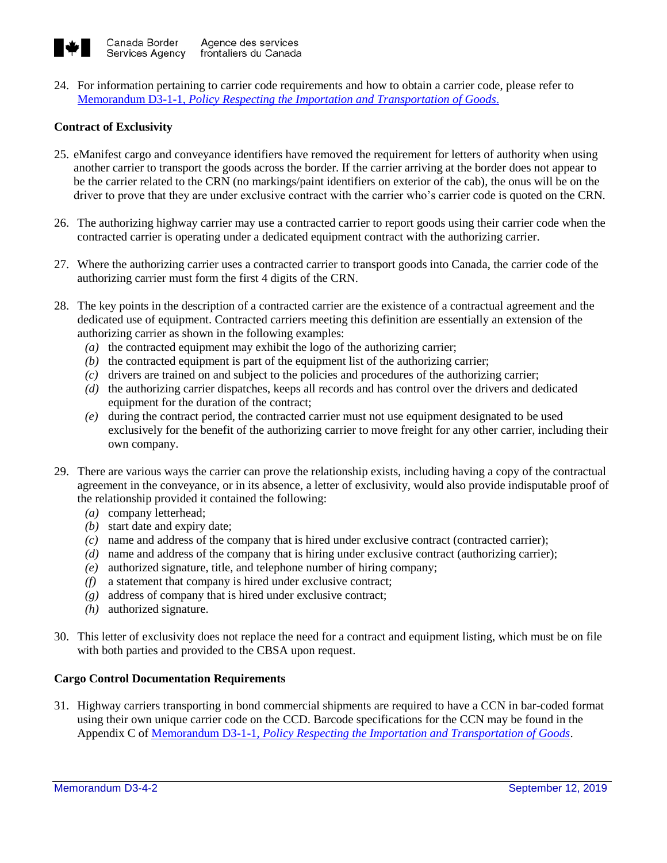

24. For information pertaining to carrier code requirements and how to obtain a carrier code, please refer to Memorandum D3-1-1, *[Policy Respecting the Importation and Transportation of Goods](http://www.cbsa-asfc.gc.ca/publications/dm-md/d3/d3-1-1-eng.html)*.

## **Contract of Exclusivity**

- 25. eManifest cargo and conveyance identifiers have removed the requirement for letters of authority when using another carrier to transport the goods across the border. If the carrier arriving at the border does not appear to be the carrier related to the CRN (no markings/paint identifiers on exterior of the cab), the onus will be on the driver to prove that they are under exclusive contract with the carrier who's carrier code is quoted on the CRN.
- 26. The authorizing highway carrier may use a contracted carrier to report goods using their carrier code when the contracted carrier is operating under a dedicated equipment contract with the authorizing carrier.
- 27. Where the authorizing carrier uses a contracted carrier to transport goods into Canada, the carrier code of the authorizing carrier must form the first 4 digits of the CRN.
- 28. The key points in the description of a contracted carrier are the existence of a contractual agreement and the dedicated use of equipment. Contracted carriers meeting this definition are essentially an extension of the authorizing carrier as shown in the following examples:
	- *(a)* the contracted equipment may exhibit the logo of the authorizing carrier;
	- *(b)* the contracted equipment is part of the equipment list of the authorizing carrier;
	- *(c)* drivers are trained on and subject to the policies and procedures of the authorizing carrier;
	- *(d)* the authorizing carrier dispatches, keeps all records and has control over the drivers and dedicated equipment for the duration of the contract;
	- *(e)* during the contract period, the contracted carrier must not use equipment designated to be used exclusively for the benefit of the authorizing carrier to move freight for any other carrier, including their own company.
- 29. There are various ways the carrier can prove the relationship exists, including having a copy of the contractual agreement in the conveyance, or in its absence, a letter of exclusivity, would also provide indisputable proof of the relationship provided it contained the following:
	- *(a)* company letterhead;
	- *(b)* start date and expiry date;
	- *(c)* name and address of the company that is hired under exclusive contract (contracted carrier);
	- *(d)* name and address of the company that is hiring under exclusive contract (authorizing carrier);
	- *(e)* authorized signature, title, and telephone number of hiring company;
	- *(f)* a statement that company is hired under exclusive contract;
	- *(g)* address of company that is hired under exclusive contract;
	- *(h)* authorized signature.
- 30. This letter of exclusivity does not replace the need for a contract and equipment listing, which must be on file with both parties and provided to the CBSA upon request.

## **Cargo Control Documentation Requirements**

31. Highway carriers transporting in bond commercial shipments are required to have a CCN in bar-coded format using their own unique carrier code on the CCD. Barcode specifications for the CCN may be found in the Appendix C of Memorandum D3-1-1, *[Policy Respecting the Importation and Transportation of Goods](http://www.cbsa-asfc.gc.ca/publications/dm-md/d3/d3-1-1-eng.html)*.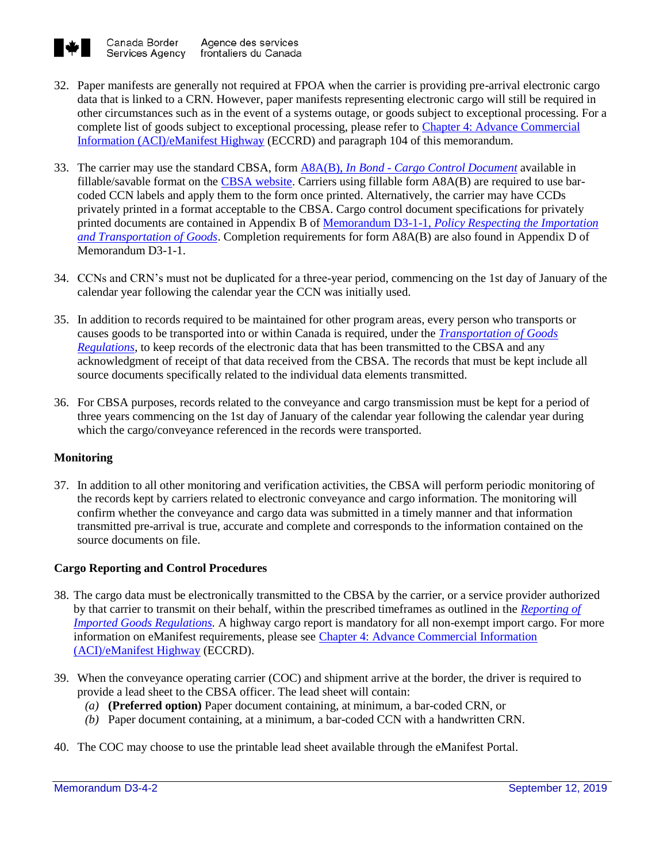

- 32. Paper manifests are generally not required at FPOA when the carrier is providing pre-arrival electronic cargo data that is linked to a CRN. However, paper manifests representing electronic cargo will still be required in other circumstances such as in the event of a systems outage, or goods subject to exceptional processing. For a complete list of goods subject to exceptional processing, please refer to [Chapter 4: Advance Commercial](https://www.cbsa-asfc.gc.ca/eservices/eccrd-eng.html)  [Information \(ACI\)/eManifest Highway](https://www.cbsa-asfc.gc.ca/eservices/eccrd-eng.html) (ECCRD) and paragraph 104 of this memorandum.
- 33. The carrier may use the standard CBSA, form A8A(B), *In Bond - [Cargo Control Document](http://www.cbsa-asfc.gc.ca/publications/forms-formulaires/a8a-b-eng.html)* available in fillable/savable format on the [CBSA website.](http://www.cbsa-asfc.gc.ca/publications/forms-formulaires/menu-eng.html) Carriers using fillable form A8A(B) are required to use barcoded CCN labels and apply them to the form once printed. Alternatively, the carrier may have CCDs privately printed in a format acceptable to the CBSA. Cargo control document specifications for privately printed documents are contained in Appendix B of Memorandum D3-1-1, *[Policy Respecting the Importation](http://www.cbsa-asfc.gc.ca/publications/dm-md/d3/d3-1-1-eng.html)  [and Transportation of Goods](http://www.cbsa-asfc.gc.ca/publications/dm-md/d3/d3-1-1-eng.html)*. Completion requirements for form A8A(B) are also found in Appendix D of Memorandum D3-1-1.
- 34. CCNs and CRN's must not be duplicated for a three-year period, commencing on the 1st day of January of the calendar year following the calendar year the CCN was initially used.
- 35. In addition to records required to be maintained for other program areas, every person who transports or causes goods to be transported into or within Canada is required, under the *[Transportation of Goods](http://laws-lois.justice.gc.ca/eng/regulations/SOR-86-1064/index.html)  [Regulations](http://laws-lois.justice.gc.ca/eng/regulations/SOR-86-1064/index.html)*, to keep records of the electronic data that has been transmitted to the CBSA and any acknowledgment of receipt of that data received from the CBSA. The records that must be kept include all source documents specifically related to the individual data elements transmitted.
- 36. For CBSA purposes, records related to the conveyance and cargo transmission must be kept for a period of three years commencing on the 1st day of January of the calendar year following the calendar year during which the cargo/conveyance referenced in the records were transported.

## **Monitoring**

37. In addition to all other monitoring and verification activities, the CBSA will perform periodic monitoring of the records kept by carriers related to electronic conveyance and cargo information. The monitoring will confirm whether the conveyance and cargo data was submitted in a timely manner and that information transmitted pre-arrival is true, accurate and complete and corresponds to the information contained on the source documents on file.

## **Cargo Reporting and Control Procedures**

- 38. The cargo data must be electronically transmitted to the CBSA by the carrier, or a service provider authorized by that carrier to transmit on their behalf, within the prescribed timeframes as outlined in the *[Reporting of](http://laws-lois.justice.gc.ca/eng/regulations/SOR-86-873/FullText.html)  [Imported Goods Regulations.](http://laws-lois.justice.gc.ca/eng/regulations/SOR-86-873/FullText.html)* A highway cargo report is mandatory for all non-exempt import cargo. For more information on eManifest requirements, please see [Chapter 4: Advance Commercial Information](https://www.cbsa-asfc.gc.ca/eservices/eccrd-eng.html)  [\(ACI\)/eManifest Highway](https://www.cbsa-asfc.gc.ca/eservices/eccrd-eng.html) (ECCRD).
- 39. When the conveyance operating carrier (COC) and shipment arrive at the border, the driver is required to provide a lead sheet to the CBSA officer. The lead sheet will contain:
	- *(a)* **(Preferred option)** Paper document containing, at minimum, a bar-coded CRN, or
	- *(b)* Paper document containing, at a minimum, a bar-coded CCN with a handwritten CRN.
- 40. The COC may choose to use the printable lead sheet available through the eManifest Portal.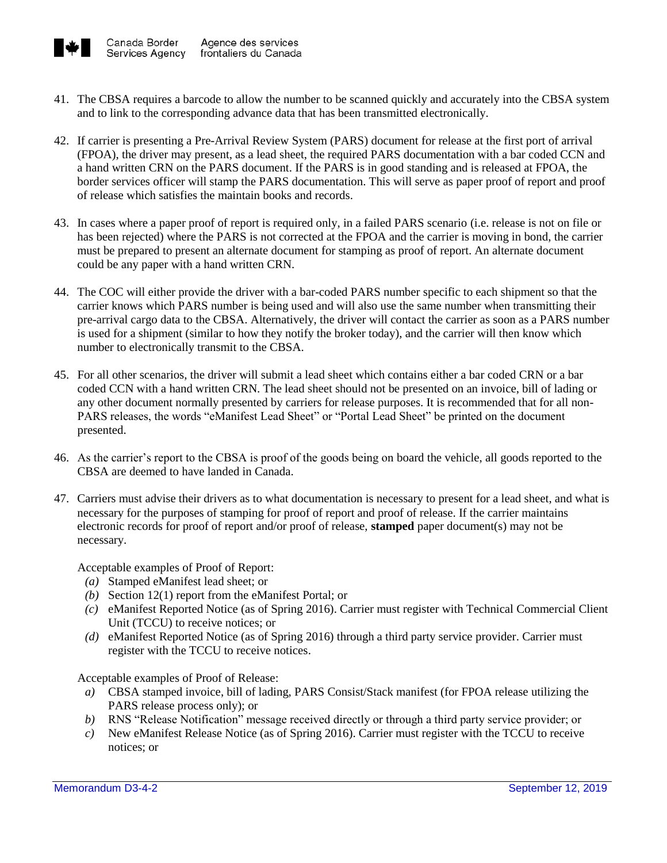

- 41. The CBSA requires a barcode to allow the number to be scanned quickly and accurately into the CBSA system and to link to the corresponding advance data that has been transmitted electronically.
- 42. If carrier is presenting a Pre-Arrival Review System (PARS) document for release at the first port of arrival (FPOA), the driver may present, as a lead sheet, the required PARS documentation with a bar coded CCN and a hand written CRN on the PARS document. If the PARS is in good standing and is released at FPOA, the border services officer will stamp the PARS documentation. This will serve as paper proof of report and proof of release which satisfies the maintain books and records.
- 43. In cases where a paper proof of report is required only, in a failed PARS scenario (i.e. release is not on file or has been rejected) where the PARS is not corrected at the FPOA and the carrier is moving in bond, the carrier must be prepared to present an alternate document for stamping as proof of report. An alternate document could be any paper with a hand written CRN.
- 44. The COC will either provide the driver with a bar-coded PARS number specific to each shipment so that the carrier knows which PARS number is being used and will also use the same number when transmitting their pre-arrival cargo data to the CBSA. Alternatively, the driver will contact the carrier as soon as a PARS number is used for a shipment (similar to how they notify the broker today), and the carrier will then know which number to electronically transmit to the CBSA.
- 45. For all other scenarios, the driver will submit a lead sheet which contains either a bar coded CRN or a bar coded CCN with a hand written CRN. The lead sheet should not be presented on an invoice, bill of lading or any other document normally presented by carriers for release purposes. It is recommended that for all non-PARS releases, the words "eManifest Lead Sheet" or "Portal Lead Sheet" be printed on the document presented.
- 46. As the carrier's report to the CBSA is proof of the goods being on board the vehicle, all goods reported to the CBSA are deemed to have landed in Canada.
- 47. Carriers must advise their drivers as to what documentation is necessary to present for a lead sheet, and what is necessary for the purposes of stamping for proof of report and proof of release. If the carrier maintains electronic records for proof of report and/or proof of release, **stamped** paper document(s) may not be necessary.

Acceptable examples of Proof of Report:

- *(a)* Stamped eManifest lead sheet; or
- *(b)* Section 12(1) report from the eManifest Portal; or
- *(c)* eManifest Reported Notice (as of Spring 2016). Carrier must register with Technical Commercial Client Unit (TCCU) to receive notices; or
- *(d)* eManifest Reported Notice (as of Spring 2016) through a third party service provider. Carrier must register with the TCCU to receive notices.

Acceptable examples of Proof of Release:

- *a)* CBSA stamped invoice, bill of lading, PARS Consist/Stack manifest (for FPOA release utilizing the PARS release process only); or
- *b)* RNS "Release Notification" message received directly or through a third party service provider; or
- *c)* New eManifest Release Notice (as of Spring 2016). Carrier must register with the TCCU to receive notices; or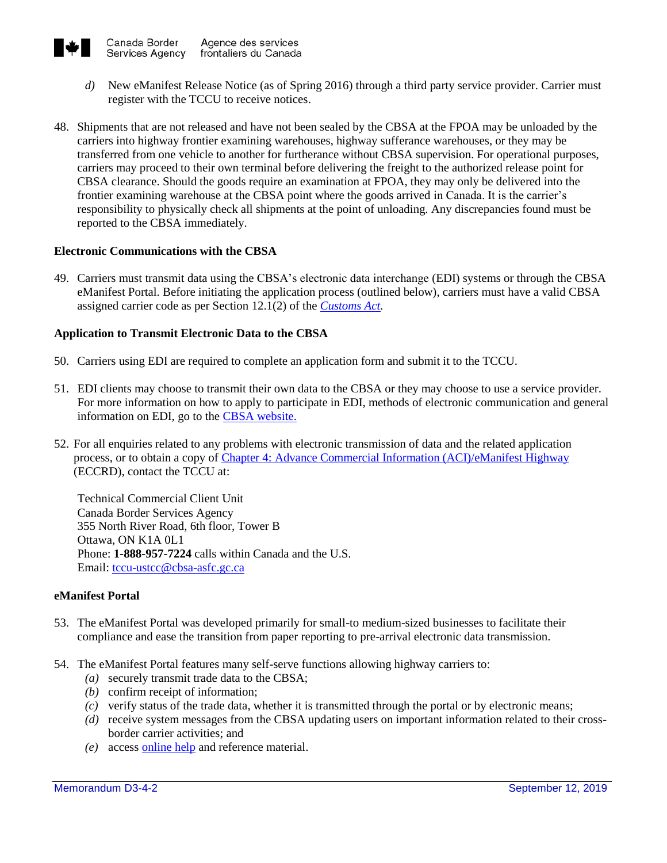

- *d)* New eManifest Release Notice (as of Spring 2016) through a third party service provider. Carrier must register with the TCCU to receive notices.
- 48. Shipments that are not released and have not been sealed by the CBSA at the FPOA may be unloaded by the carriers into highway frontier examining warehouses, highway sufferance warehouses, or they may be transferred from one vehicle to another for furtherance without CBSA supervision. For operational purposes, carriers may proceed to their own terminal before delivering the freight to the authorized release point for CBSA clearance. Should the goods require an examination at FPOA, they may only be delivered into the frontier examining warehouse at the CBSA point where the goods arrived in Canada. It is the carrier's responsibility to physically check all shipments at the point of unloading. Any discrepancies found must be reported to the CBSA immediately.

## **Electronic Communications with the CBSA**

49. Carriers must transmit data using the CBSA's electronic data interchange (EDI) systems or through the CBSA eManifest Portal. Before initiating the application process (outlined below), carriers must have a valid CBSA assigned carrier code as per Section 12.1(2) of the *[Customs Act.](http://laws-lois.justice.gc.ca/eng/acts/C-52.6/FullText.html)*

## **Application to Transmit Electronic Data to the CBSA**

- 50. Carriers using EDI are required to complete an application form and submit it to the TCCU.
- 51. EDI clients may choose to transmit their own data to the CBSA or they may choose to use a service provider. For more information on how to apply to participate in EDI, methods of electronic communication and general information on EDI, go to the [CBSA website.](https://www.cbsa-asfc.gc.ca/eservices/comm-eng.html)
- 52. For all enquiries related to any problems with electronic transmission of data and the related application process, or to obtain a copy of [Chapter 4: Advance Commercial Information \(ACI\)/eManifest Highway](https://www.cbsa-asfc.gc.ca/eservices/eccrd-eng.html) (ECCRD), contact the TCCU at:

Technical Commercial Client Unit Canada Border Services Agency 355 North River Road, 6th floor, Tower B Ottawa, ON K1A 0L1 Phone: **1-888-957-7224** calls within Canada and the U.S. Email: [tccu-ustcc@cbsa-asfc.gc.ca](mailto:tccu-ustcc@cbsa-asfc.gc.ca)

#### **eManifest Portal**

- 53. The eManifest Portal was developed primarily for small-to medium-sized businesses to facilitate their compliance and ease the transition from paper reporting to pre-arrival electronic data transmission.
- 54. The eManifest Portal features many self-serve functions allowing highway carriers to:
	- *(a)* securely transmit trade data to the CBSA;
	- *(b)* confirm receipt of information;
	- *(c)* verify status of the trade data, whether it is transmitted through the portal or by electronic means;
	- *(d)* receive system messages from the CBSA updating users on important information related to their crossborder carrier activities; and
	- *(e)* access [online help](https://www.cbsa-asfc.gc.ca/prog/manif/portal-portail/help-aide-eng.html) and reference material.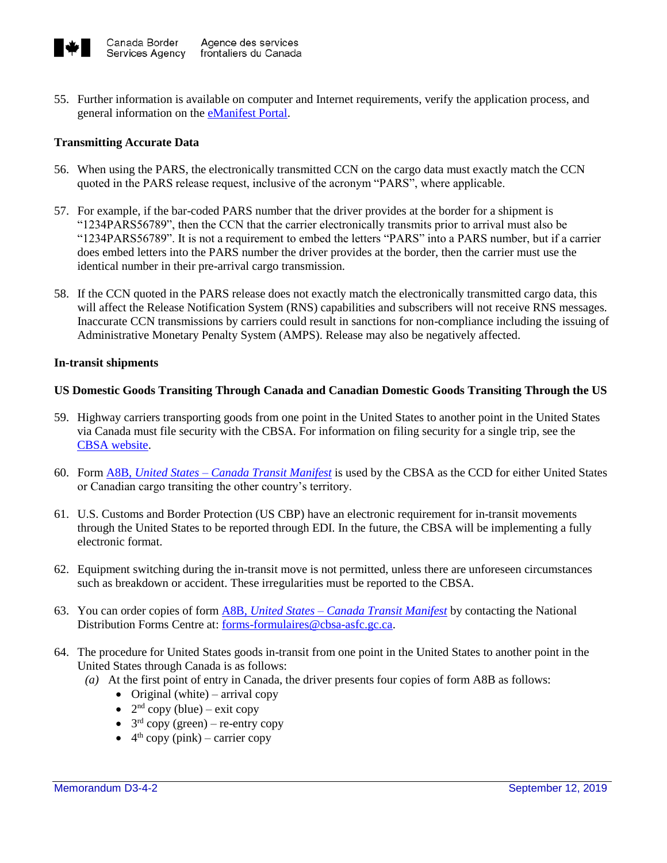

55. Further information is available on computer and Internet requirements, verify the application process, and general information on the **eManifest Portal**.

## **Transmitting Accurate Data**

- 56. When using the PARS, the electronically transmitted CCN on the cargo data must exactly match the CCN quoted in the PARS release request, inclusive of the acronym "PARS", where applicable.
- 57. For example, if the bar-coded PARS number that the driver provides at the border for a shipment is "1234PARS56789", then the CCN that the carrier electronically transmits prior to arrival must also be "1234PARS56789". It is not a requirement to embed the letters "PARS" into a PARS number, but if a carrier does embed letters into the PARS number the driver provides at the border, then the carrier must use the identical number in their pre-arrival cargo transmission.
- 58. If the CCN quoted in the PARS release does not exactly match the electronically transmitted cargo data, this will affect the Release Notification System (RNS) capabilities and subscribers will not receive RNS messages. Inaccurate CCN transmissions by carriers could result in sanctions for non-compliance including the issuing of Administrative Monetary Penalty System (AMPS). Release may also be negatively affected.

#### **In-transit shipments**

## **US Domestic Goods Transiting Through Canada and Canadian Domestic Goods Transiting Through the US**

- 59. Highway carriers transporting goods from one point in the United States to another point in the United States via Canada must file security with the CBSA. For information on filing security for a single trip, see the [CBSA website.](http://www.cbsa-asfc.gc.ca/services/carrier-transporteur/hc-tr-eng.html)
- 60. Form A8B, *United States – [Canada Transit Manifest](http://www.cbsa-asfc.gc.ca/publications/forms-formulaires/a8b-eng.html)* is used by the CBSA as the CCD for either United States or Canadian cargo transiting the other country's territory.
- 61. U.S. Customs and Border Protection (US CBP) have an electronic requirement for in-transit movements through the United States to be reported through EDI. In the future, the CBSA will be implementing a fully electronic format.
- 62. Equipment switching during the in-transit move is not permitted, unless there are unforeseen circumstances such as breakdown or accident. These irregularities must be reported to the CBSA.
- 63. You can order copies of form A8B, *United States – [Canada Transit Manifest](http://www.cbsa-asfc.gc.ca/publications/forms-formulaires/a8b-eng.html)* by contacting the National Distribution Forms Centre at[: forms-formulaires@cbsa-asfc.gc.ca.](mailto:forms-formulaires@cbsa-asfc.gc.ca)
- 64. The procedure for United States goods in-transit from one point in the United States to another point in the United States through Canada is as follows:
	- *(a)* At the first point of entry in Canada, the driver presents four copies of form A8B as follows:
		- Original (white) arrival copy
		- $2<sup>nd</sup>$  copy (blue) exit copy
		- $3<sup>rd</sup>$  copy (green) re-entry copy
		- $\bullet$  4<sup>th</sup> copy (pink) carrier copy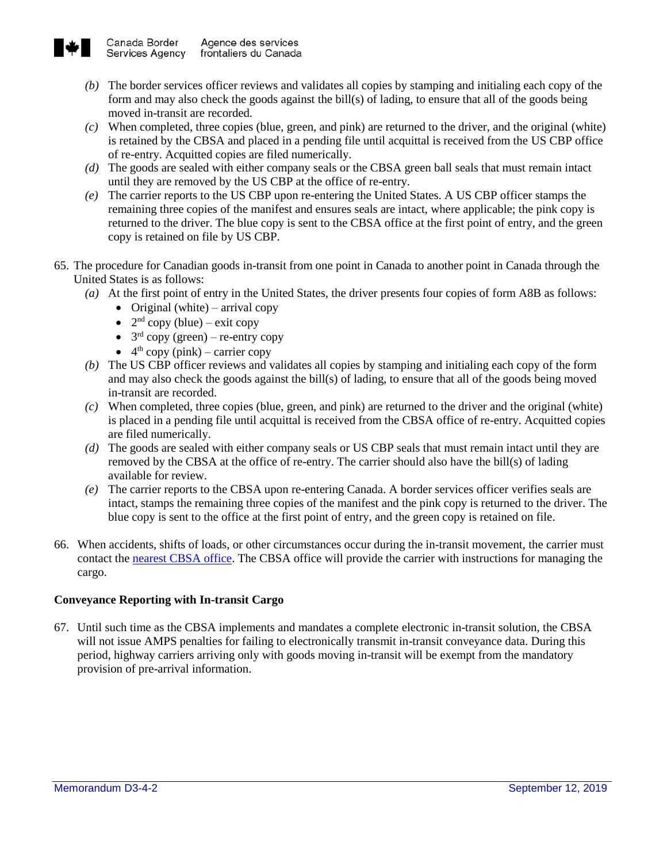

- *(b)* The border services officer reviews and validates all copies by stamping and initialing each copy of the form and may also check the goods against the bill(s) of lading, to ensure that all of the goods being moved in-transit are recorded.
- *(c)* When completed, three copies (blue, green, and pink) are returned to the driver, and the original (white) is retained by the CBSA and placed in a pending file until acquittal is received from the US CBP office of re-entry. Acquitted copies are filed numerically.
- *(d)* The goods are sealed with either company seals or the CBSA green ball seals that must remain intact until they are removed by the US CBP at the office of re-entry.
- *(e)* The carrier reports to the US CBP upon re-entering the United States. A US CBP officer stamps the remaining three copies of the manifest and ensures seals are intact, where applicable; the pink copy is returned to the driver. The blue copy is sent to the CBSA office at the first point of entry, and the green copy is retained on file by US CBP.
- 65. The procedure for Canadian goods in-transit from one point in Canada to another point in Canada through the United States is as follows:
	- *(a)* At the first point of entry in the United States, the driver presents four copies of form A8B as follows:
		- Original (white) arrival copy
		- $2<sup>nd</sup>$  copy (blue) exit copy
		- $3<sup>rd</sup>$  copy (green) re-entry copy
		- $\bullet$  4<sup>th</sup> copy (pink) carrier copy
	- *(b)* The US CBP officer reviews and validates all copies by stamping and initialing each copy of the form and may also check the goods against the bill(s) of lading, to ensure that all of the goods being moved in-transit are recorded.
	- *(c)* When completed, three copies (blue, green, and pink) are returned to the driver and the original (white) is placed in a pending file until acquittal is received from the CBSA office of re-entry. Acquitted copies are filed numerically.
	- *(d)* The goods are sealed with either company seals or US CBP seals that must remain intact until they are removed by the CBSA at the office of re-entry. The carrier should also have the bill(s) of lading available for review.
	- *(e)* The carrier reports to the CBSA upon re-entering Canada. A border services officer verifies seals are intact, stamps the remaining three copies of the manifest and the pink copy is returned to the driver. The blue copy is sent to the office at the first point of entry, and the green copy is retained on file.
- 66. When accidents, shifts of loads, or other circumstances occur during the in-transit movement, the carrier must contact th[e nearest CBSA office.](http://www.cbsa-asfc.gc.ca/do-rb/menu-eng.html) The CBSA office will provide the carrier with instructions for managing the cargo.

## **Conveyance Reporting with In-transit Cargo**

67. Until such time as the CBSA implements and mandates a complete electronic in-transit solution, the CBSA will not issue AMPS penalties for failing to electronically transmit in-transit conveyance data. During this period, highway carriers arriving only with goods moving in-transit will be exempt from the mandatory provision of pre-arrival information.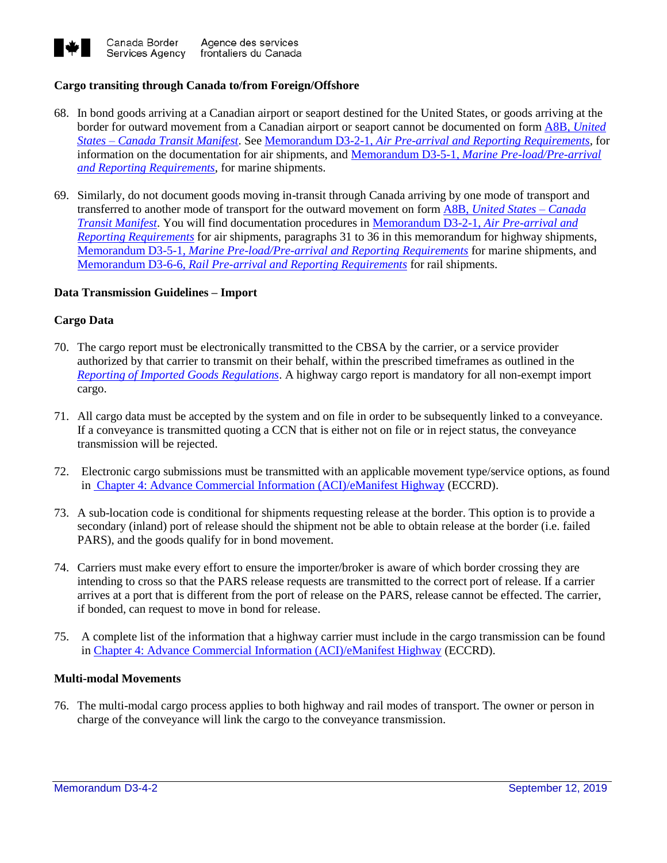

## **Cargo transiting through Canada to/from Foreign/Offshore**

- 68. In bond goods arriving at a Canadian airport or seaport destined for the United States, or goods arriving at the border for outward movement from a Canadian airport or seaport cannot be documented on form A8B, *[United](http://www.cbsa-asfc.gc.ca/publications/forms-formulaires/a8b-eng.html)  States – [Canada Transit Manifest](http://www.cbsa-asfc.gc.ca/publications/forms-formulaires/a8b-eng.html)*. See Memorandum D3-2-1, *[Air Pre-arrival and Reporting Requirements](http://www.cbsa-asfc.gc.ca/publications/dm-md/d3/d3-2-1-eng.html)*, for information on the documentation for air shipments, and Memorandum D3-5-1, *[Marine Pre-load/Pre-arrival](http://www.cbsa-asfc.gc.ca/publications/dm-md/d3/d3-5-1-eng.html)  [and Reporting Requirements](http://www.cbsa-asfc.gc.ca/publications/dm-md/d3/d3-5-1-eng.html)*, for marine shipments.
- 69. Similarly, do not document goods moving in-transit through Canada arriving by one mode of transport and transferred to another mode of transport for the outward movement on form A8B, *[United States –](https://www.cbsa-asfc.gc.ca/publications/forms-formulaires/a8b-eng.html) Canada [Transit Manifest](https://www.cbsa-asfc.gc.ca/publications/forms-formulaires/a8b-eng.html)*. You will find documentation procedures in [Memorandum D3-2-1,](http://www.cbsa-asfc.gc.ca/publications/dm-md/d3/d3-2-1-eng.html) *Air Pre-arrival and [Reporting Requirements](http://www.cbsa-asfc.gc.ca/publications/dm-md/d3/d3-2-1-eng.html)* for air shipments, paragraphs 31 to 36 in this memorandum for highway shipments[,](http://www.cbsa-asfc.gc.ca/publications/dm-md/d3/d3-5-1-eng.html) Memorandum D3-5-1, *[Marine Pre-load/Pre-arrival and Reporting Requirements](http://www.cbsa-asfc.gc.ca/publications/dm-md/d3/d3-5-1-eng.html)* for marine shipments, and Memorandum D3-6-6, *[Rail Pre-arrival and Reporting Requirements](http://www.cbsa-asfc.gc.ca/publications/dm-md/d3/d3-6-6-eng.html)* for rail shipments.

#### **Data Transmission Guidelines – Import**

#### **Cargo Data**

- 70. The cargo report must be electronically transmitted to the CBSA by the carrier, or a service provider authorized by that carrier to transmit on their behalf, within the prescribed timeframes as outlined in the *[Reporting of Imported Goods Regulations](http://laws-lois.justice.gc.ca/eng/regulations/SOR-86-873/index.html)*. A highway cargo report is mandatory for all non-exempt import cargo.
- 71. All cargo data must be accepted by the system and on file in order to be subsequently linked to a conveyance. If a conveyance is transmitted quoting a CCN that is either not on file or in reject status, the conveyance transmission will be rejected.
- 72. Electronic cargo submissions must be transmitted with an applicable movement type/service options, as found in [Chapter 4: Advance Commercial Information \(ACI\)/eManifest Highway](https://www.cbsa-asfc.gc.ca/eservices/eccrd-eng.html) (ECCRD).
- 73. A sub-location code is conditional for shipments requesting release at the border. This option is to provide a secondary (inland) port of release should the shipment not be able to obtain release at the border (i.e. failed PARS), and the goods qualify for in bond movement.
- 74. Carriers must make every effort to ensure the importer/broker is aware of which border crossing they are intending to cross so that the PARS release requests are transmitted to the correct port of release. If a carrier arrives at a port that is different from the port of release on the PARS, release cannot be effected. The carrier, if bonded, can request to move in bond for release.
- 75. A complete list of the information that a highway carrier must include in the cargo transmission can be found in [Chapter 4: Advance Commercial Information \(ACI\)/eManifest Highway](https://www.cbsa-asfc.gc.ca/eservices/eccrd-eng.html) (ECCRD).

## **Multi-modal Movements**

76. The multi-modal cargo process applies to both highway and rail modes of transport. The owner or person in charge of the conveyance will link the cargo to the conveyance transmission.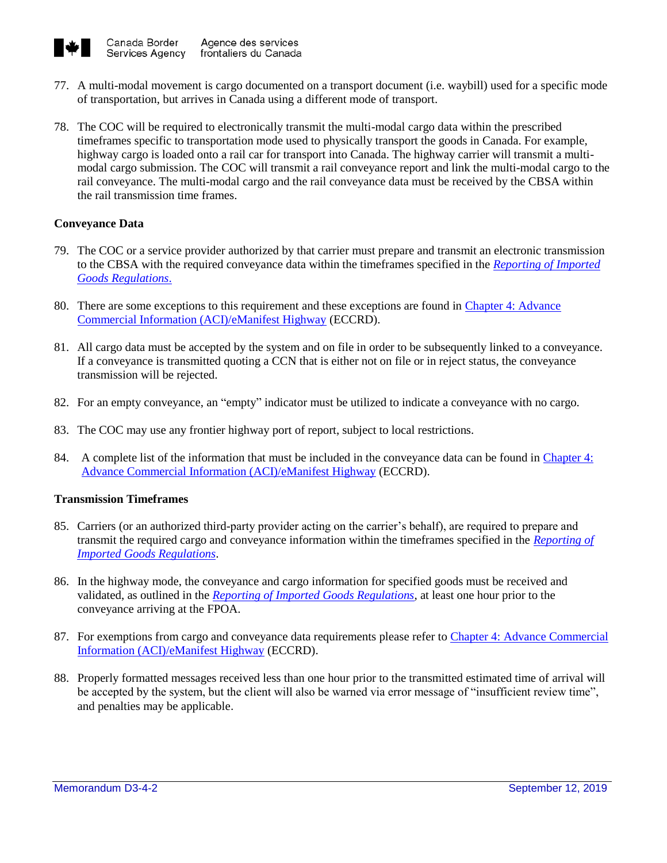

- 77. A multi-modal movement is cargo documented on a transport document (i.e. waybill) used for a specific mode of transportation, but arrives in Canada using a different mode of transport.
- 78. The COC will be required to electronically transmit the multi-modal cargo data within the prescribed timeframes specific to transportation mode used to physically transport the goods in Canada. For example, highway cargo is loaded onto a rail car for transport into Canada. The highway carrier will transmit a multimodal cargo submission. The COC will transmit a rail conveyance report and link the multi-modal cargo to the rail conveyance. The multi-modal cargo and the rail conveyance data must be received by the CBSA within the rail transmission time frames.

## **Conveyance Data**

- 79. The COC or a service provider authorized by that carrier must prepare and transmit an electronic transmission to the CBSA with the required conveyance data within the timeframes specified in the *[Reporting of Imported](http://laws-lois.justice.gc.ca/eng/regulations/SOR-86-873/FullText.html)  [Goods Regulations](http://laws-lois.justice.gc.ca/eng/regulations/SOR-86-873/FullText.html)*.
- 80. There are some exceptions to this requirement and these exceptions are found in [Chapter 4: Advance](https://www.cbsa-asfc.gc.ca/eservices/eccrd-eng.html)  [Commercial Information \(ACI\)/eManifest Highway](https://www.cbsa-asfc.gc.ca/eservices/eccrd-eng.html) (ECCRD).
- 81. All cargo data must be accepted by the system and on file in order to be subsequently linked to a conveyance. If a conveyance is transmitted quoting a CCN that is either not on file or in reject status, the conveyance transmission will be rejected.
- 82. For an empty conveyance, an "empty" indicator must be utilized to indicate a conveyance with no cargo.
- 83. The COC may use any frontier highway port of report, subject to local restrictions.
- 84. A complete list of the information that must be included in the conveyance data can be found in Chapter 4: [Advance Commercial Information \(ACI\)/eManifest Highway](https://www.cbsa-asfc.gc.ca/eservices/eccrd-eng.html) (ECCRD).

#### **Transmission Timeframes**

- 85. Carriers (or an authorized third-party provider acting on the carrier's behalf), are required to prepare and transmit the required cargo and conveyance information within the timeframes specified in the *[Reporting of](http://laws-lois.justice.gc.ca/eng/regulations/SOR-86-873/page-1.html)  [Imported Goods Regulations](http://laws-lois.justice.gc.ca/eng/regulations/SOR-86-873/page-1.html)*.
- 86. In the highway mode, the conveyance and cargo information for specified goods must be received and validated, as outlined in the *[Reporting of Imported Goods Regulations](http://laws-lois.justice.gc.ca/eng/regulations/SOR-86-873/page-1.html)*, at least one hour prior to the conveyance arriving at the FPOA.
- 87. For exemptions from cargo and conveyance data requirements please refer to Chapter 4: Advance Commercial [Information \(ACI\)/eManifest Highway](https://www.cbsa-asfc.gc.ca/eservices/eccrd-eng.html) (ECCRD).
- 88. Properly formatted messages received less than one hour prior to the transmitted estimated time of arrival will be accepted by the system, but the client will also be warned via error message of "insufficient review time", and penalties may be applicable.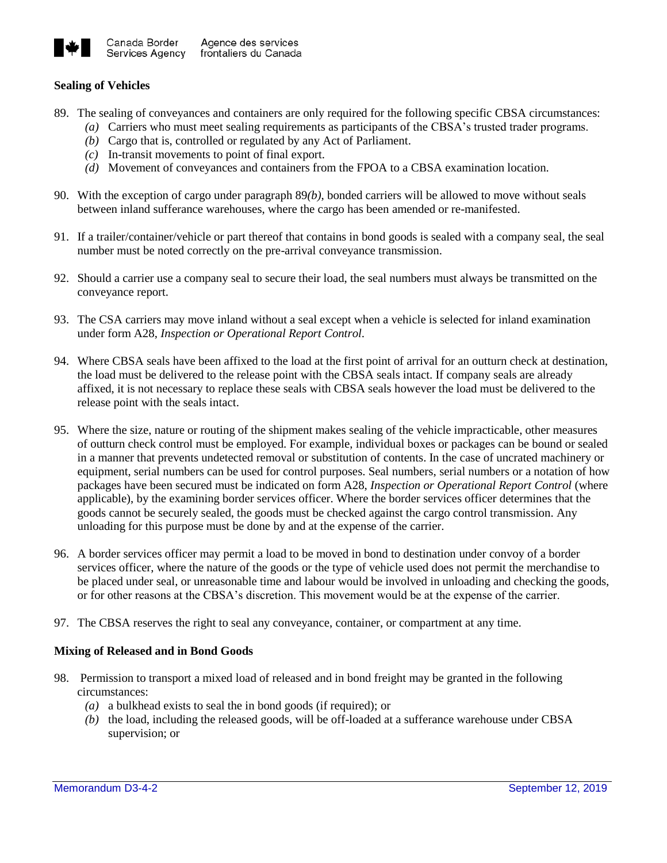

## **Sealing of Vehicles**

- 89. The sealing of conveyances and containers are only required for the following specific CBSA circumstances:
	- *(a)* Carriers who must meet sealing requirements as participants of the CBSA's trusted trader programs.
	- *(b)* Cargo that is, controlled or regulated by any Act of Parliament.
	- *(c)* In-transit movements to point of final export.
	- *(d)* Movement of conveyances and containers from the FPOA to a CBSA examination location.
- 90. With the exception of cargo under paragraph 89*(b)*, bonded carriers will be allowed to move without seals between inland sufferance warehouses, where the cargo has been amended or re-manifested.
- 91. If a trailer/container/vehicle or part thereof that contains in bond goods is sealed with a company seal, the seal number must be noted correctly on the pre-arrival conveyance transmission.
- 92. Should a carrier use a company seal to secure their load, the seal numbers must always be transmitted on the conveyance report.
- 93. The CSA carriers may move inland without a seal except when a vehicle is selected for inland examination under form A28, *Inspection or Operational Report Control*.
- 94. Where CBSA seals have been affixed to the load at the first point of arrival for an outturn check at destination, the load must be delivered to the release point with the CBSA seals intact. If company seals are already affixed, it is not necessary to replace these seals with CBSA seals however the load must be delivered to the release point with the seals intact.
- 95. Where the size, nature or routing of the shipment makes sealing of the vehicle impracticable, other measures of outturn check control must be employed. For example, individual boxes or packages can be bound or sealed in a manner that prevents undetected removal or substitution of contents. In the case of uncrated machinery or equipment, serial numbers can be used for control purposes. Seal numbers, serial numbers or a notation of how packages have been secured must be indicated on form A28, *Inspection or Operational Report Control* (where applicable), by the examining border services officer. Where the border services officer determines that the goods cannot be securely sealed, the goods must be checked against the cargo control transmission. Any unloading for this purpose must be done by and at the expense of the carrier.
- 96. A border services officer may permit a load to be moved in bond to destination under convoy of a border services officer, where the nature of the goods or the type of vehicle used does not permit the merchandise to be placed under seal, or unreasonable time and labour would be involved in unloading and checking the goods, or for other reasons at the CBSA's discretion. This movement would be at the expense of the carrier.
- 97. The CBSA reserves the right to seal any conveyance, container, or compartment at any time.

## **Mixing of Released and in Bond Goods**

- 98. Permission to transport a mixed load of released and in bond freight may be granted in the following circumstances:
	- *(a)* a bulkhead exists to seal the in bond goods (if required); or
	- *(b)* the load, including the released goods, will be off-loaded at a sufferance warehouse under CBSA supervision; or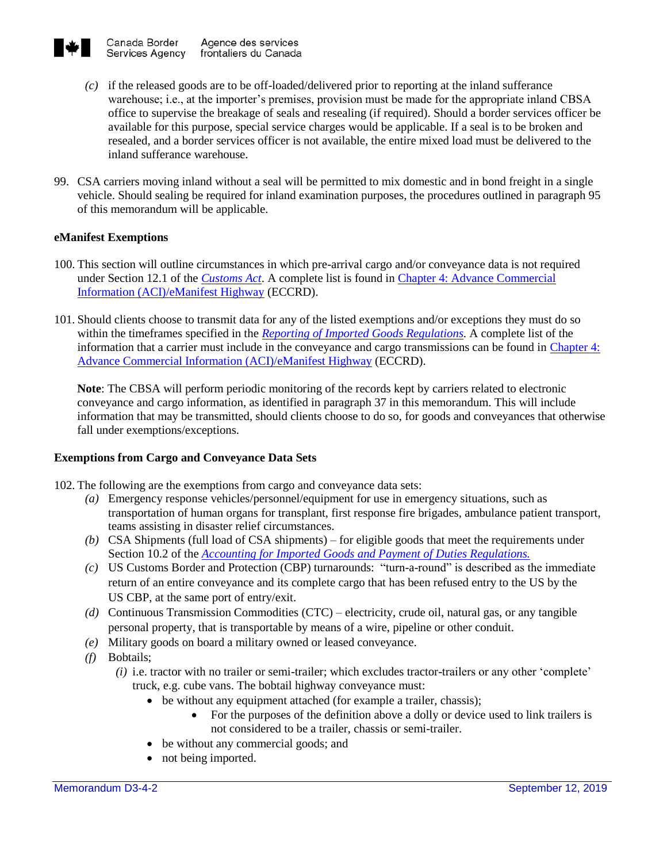

- *(c)* if the released goods are to be off-loaded/delivered prior to reporting at the inland sufferance warehouse; i.e., at the importer's premises, provision must be made for the appropriate inland CBSA office to supervise the breakage of seals and resealing (if required). Should a border services officer be available for this purpose, special service charges would be applicable. If a seal is to be broken and resealed, and a border services officer is not available, the entire mixed load must be delivered to the inland sufferance warehouse.
- 99. CSA carriers moving inland without a seal will be permitted to mix domestic and in bond freight in a single vehicle. Should sealing be required for inland examination purposes, the procedures outlined in paragraph 95 of this memorandum will be applicable.

## **eManifest Exemptions**

- 100. This section will outline circumstances in which pre-arrival cargo and/or conveyance data is not required under Section 12.1 of the *[Customs Act](http://laws-lois.justice.gc.ca/eng/acts/C-52.6/FullText.html)*. A complete list is found in [Chapter 4: Advance Commercial](https://www.cbsa-asfc.gc.ca/eservices/eccrd-eng.html)  [Information \(ACI\)/eManifest Highway](https://www.cbsa-asfc.gc.ca/eservices/eccrd-eng.html) (ECCRD).
- 101. Should clients choose to transmit data for any of the listed exemptions and/or exceptions they must do so within the timeframes specified in the *[Reporting of Imported](http://laws-lois.justice.gc.ca/eng/regulations/SOR-86-873/index.html) Goods Regulations.* A complete list of the information that a carrier must include in the conveyance and cargo transmissions can be found in [Chapter 4:](https://www.cbsa-asfc.gc.ca/eservices/eccrd-eng.html)  [Advance Commercial Information \(ACI\)/eManifest Highway](https://www.cbsa-asfc.gc.ca/eservices/eccrd-eng.html) (ECCRD).

**Note**: The CBSA will perform periodic monitoring of the records kept by carriers related to electronic conveyance and cargo information, as identified in paragraph 37 in this memorandum. This will include information that may be transmitted, should clients choose to do so, for goods and conveyances that otherwise fall under exemptions/exceptions.

## **Exemptions from Cargo and Conveyance Data Sets**

- 102. The following are the exemptions from cargo and conveyance data sets:
	- *(a)* Emergency response vehicles/personnel/equipment for use in emergency situations, such as transportation of human organs for transplant, first response fire brigades, ambulance patient transport, teams assisting in disaster relief circumstances.
	- *(b)* CSA Shipments (full load of CSA shipments) for eligible goods that meet the requirements under Section 10.2 of the *[Accounting for Imported Goods and Payment of Duties Regulations.](http://laws-lois.justice.gc.ca/eng/regulations/SOR-86-1062/FullText.html)*
	- *(c)* US Customs Border and Protection (CBP) turnarounds: "turn-a-round" is described as the immediate return of an entire conveyance and its complete cargo that has been refused entry to the US by the US CBP, at the same port of entry/exit.
	- *(d)* Continuous Transmission Commodities (CTC) electricity, crude oil, natural gas, or any tangible personal property, that is transportable by means of a wire, pipeline or other conduit.
	- *(e)* Military goods on board a military owned or leased conveyance.
	- *(f)* Bobtails;
		- *(i)* i.e. tractor with no trailer or semi-trailer; which excludes tractor-trailers or any other 'complete' truck, e.g. cube vans. The bobtail highway conveyance must:
			- be without any equipment attached (for example a trailer, chassis);
				- For the purposes of the definition above a dolly or device used to link trailers is not considered to be a trailer, chassis or semi-trailer.
			- be without any commercial goods; and
			- not being imported.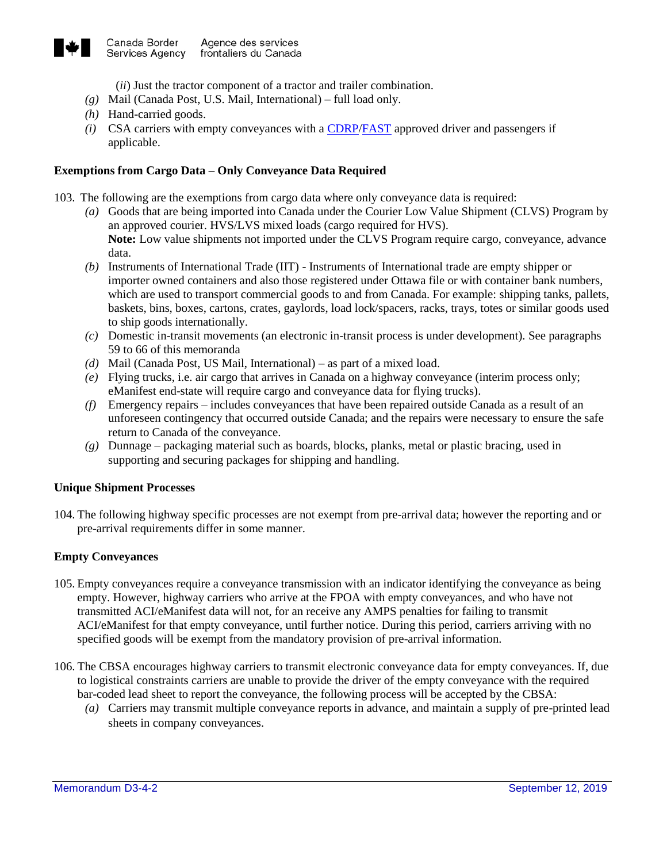

- (*ii*) Just the tractor component of a tractor and trailer combination.
- *(g)* Mail (Canada Post, U.S. Mail, International) full load only.
- *(h)* Hand-carried goods.
- *(i)* CSA carriers with empty conveyances with a [CDRP/](http://www.cbsa-asfc.gc.ca/prog/cdrp-picsc/menu-eng.html)[FAST](http://www.cbsa-asfc.gc.ca/prog/fast-expres/menu-eng.html) approved driver and passengers if applicable.

## **Exemptions from Cargo Data – Only Conveyance Data Required**

- 103. The following are the exemptions from cargo data where only conveyance data is required:
	- *(a)* Goods that are being imported into Canada under the Courier Low Value Shipment (CLVS) Program by an approved courier. HVS/LVS mixed loads (cargo required for HVS). **Note:** Low value shipments not imported under the CLVS Program require cargo, conveyance, advance data.
	- *(b)* Instruments of International Trade (IIT) Instruments of International trade are empty shipper or importer owned containers and also those registered under Ottawa file or with container bank numbers, which are used to transport commercial goods to and from Canada. For example: shipping tanks, pallets, baskets, bins, boxes, cartons, crates, gaylords, load lock/spacers, racks, trays, totes or similar goods used to ship goods internationally.
	- *(c)* Domestic in-transit movements (an electronic in-transit process is under development). See paragraphs 59 to 66 of this memoranda
	- *(d)* Mail (Canada Post, US Mail, International) as part of a mixed load.
	- *(e)* Flying trucks, i.e. air cargo that arrives in Canada on a highway conveyance (interim process only; eManifest end-state will require cargo and conveyance data for flying trucks).
	- *(f)* Emergency repairs includes conveyances that have been repaired outside Canada as a result of an unforeseen contingency that occurred outside Canada; and the repairs were necessary to ensure the safe return to Canada of the conveyance.
	- *(g)* Dunnage packaging material such as boards, blocks, planks, metal or plastic bracing, used in supporting and securing packages for shipping and handling.

#### **Unique Shipment Processes**

104. The following highway specific processes are not exempt from pre-arrival data; however the reporting and or pre-arrival requirements differ in some manner.

## **Empty Conveyances**

- 105. Empty conveyances require a conveyance transmission with an indicator identifying the conveyance as being empty. However, highway carriers who arrive at the FPOA with empty conveyances, and who have not transmitted ACI/eManifest data will not, for an receive any AMPS penalties for failing to transmit ACI/eManifest for that empty conveyance, until further notice. During this period, carriers arriving with no specified goods will be exempt from the mandatory provision of pre-arrival information.
- 106. The CBSA encourages highway carriers to transmit electronic conveyance data for empty conveyances. If, due to logistical constraints carriers are unable to provide the driver of the empty conveyance with the required bar-coded lead sheet to report the conveyance, the following process will be accepted by the CBSA:
	- *(a)* Carriers may transmit multiple conveyance reports in advance, and maintain a supply of pre-printed lead sheets in company conveyances.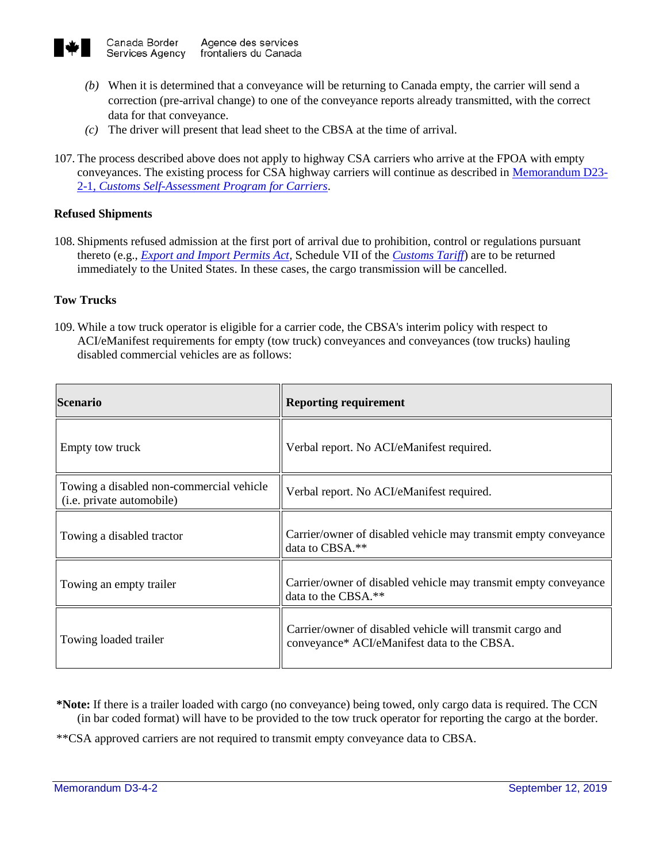

- *(b)* When it is determined that a conveyance will be returning to Canada empty, the carrier will send a correction (pre-arrival change) to one of the conveyance reports already transmitted, with the correct data for that conveyance.
- *(c)* The driver will present that lead sheet to the CBSA at the time of arrival.
- 107. The process described above does not apply to highway CSA carriers who arrive at the FPOA with empty conveyances. The existing process for CSA highway carriers will continue as described in [Memorandum D23-](http://www.cbsa-asfc.gc.ca/publications/dm-md/d23/d23-2-1-eng.html) 2-1*[, Customs Self-Assessment](http://www.cbsa-asfc.gc.ca/publications/dm-md/d23/d23-2-1-eng.html) Program for Carriers*.

## **Refused Shipments**

108. Shipments refused admission at the first port of arrival due to prohibition, control or regulations pursuant thereto (e.g., *[Export and Import Permits Act,](http://laws-lois.justice.gc.ca/eng/acts/E-19/FullText.html)* Schedule VII of the *[Customs Tariff](http://www.cbsa-asfc.gc.ca/trade-commerce/tariff-tarif/menu-eng.html)*) are to be returned immediately to the United States. In these cases, the cargo transmission will be cancelled.

## **Tow Trucks**

109. While a tow truck operator is eligible for a carrier code, the CBSA's interim policy with respect to ACI/eManifest requirements for empty (tow truck) conveyances and conveyances (tow trucks) hauling disabled commercial vehicles are as follows:

| <b>Scenario</b>                                                               | <b>Reporting requirement</b>                                                                             |
|-------------------------------------------------------------------------------|----------------------------------------------------------------------------------------------------------|
| Empty tow truck                                                               | Verbal report. No ACI/eManifest required.                                                                |
| Towing a disabled non-commercial vehicle<br>( <i>i.e.</i> private automobile) | Verbal report. No ACI/eManifest required.                                                                |
| Towing a disabled tractor                                                     | Carrier/owner of disabled vehicle may transmit empty conveyance<br>data to CBSA.**                       |
| Towing an empty trailer                                                       | Carrier/owner of disabled vehicle may transmit empty conveyance<br>data to the CBSA.**                   |
| Towing loaded trailer                                                         | Carrier/owner of disabled vehicle will transmit cargo and<br>conveyance* ACI/eManifest data to the CBSA. |

- **\*Note:** If there is a trailer loaded with cargo (no conveyance) being towed, only cargo data is required. The CCN (in bar coded format) will have to be provided to the tow truck operator for reporting the cargo at the border.
- \*\*CSA approved carriers are not required to transmit empty conveyance data to CBSA.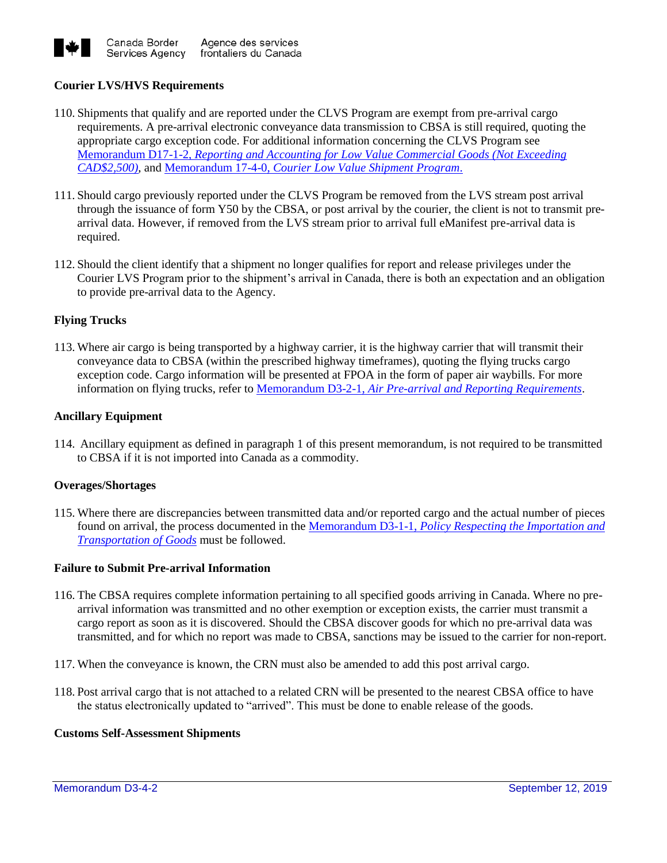

## **Courier LVS/HVS Requirements**

- 110. Shipments that qualify and are reported under the CLVS Program are exempt from pre-arrival cargo requirements. A pre-arrival electronic conveyance data transmission to CBSA is still required, quoting the appropriate cargo exception code. For additional information concerning the CLVS Program see Memorandum D17-1-2, *[Reporting and Accounting for Low Value Commercial Goods \(Not Exceeding](http://www.cbsa-asfc.gc.ca/publications/dm-md/d17/d17-1-2-eng.html)  [CAD\\$2,500\)](http://www.cbsa-asfc.gc.ca/publications/dm-md/d17/d17-1-2-eng.html)*, and Memorandum 17-4-0, *[Courier Low Value Shipment Program](http://www.cbsa-asfc.gc.ca/publications/dm-md/d17/d17-4-0-eng.html)*.
- 111. Should cargo previously reported under the CLVS Program be removed from the LVS stream post arrival through the issuance of form Y50 by the CBSA, or post arrival by the courier, the client is not to transmit prearrival data. However, if removed from the LVS stream prior to arrival full eManifest pre-arrival data is required.
- 112. Should the client identify that a shipment no longer qualifies for report and release privileges under the Courier LVS Program prior to the shipment's arrival in Canada, there is both an expectation and an obligation to provide pre-arrival data to the Agency.

## **Flying Trucks**

113. Where air cargo is being transported by a highway carrier, it is the highway carrier that will transmit their conveyance data to CBSA (within the prescribed highway timeframes), quoting the flying trucks cargo exception code. Cargo information will be presented at FPOA in the form of paper air waybills. For more information on flying trucks, refer to Memorandum D3-2-1, *[Air Pre-arrival and Reporting Requirements](http://www.cbsa-asfc.gc.ca/publications/dm-md/d3/d3-2-1-eng.html)*.

#### **Ancillary Equipment**

114. Ancillary equipment as defined in paragraph 1 of this present memorandum, is not required to be transmitted to CBSA if it is not imported into Canada as a commodity.

#### **Overages/Shortages**

115. Where there are discrepancies between transmitted data and/or reported cargo and the actual number of pieces found on arrival, the process documented in the Memorandum D3-1-1, *[Policy Respecting the Importation and](https://www.cbsa-asfc.gc.ca/publications/dm-md/d3/d3-1-1-eng.html)  [Transportation](https://www.cbsa-asfc.gc.ca/publications/dm-md/d3/d3-1-1-eng.html) of Goods* must be followed.

#### **Failure to Submit Pre-arrival Information**

- 116. The CBSA requires complete information pertaining to all specified goods arriving in Canada. Where no prearrival information was transmitted and no other exemption or exception exists, the carrier must transmit a cargo report as soon as it is discovered. Should the CBSA discover goods for which no pre-arrival data was transmitted, and for which no report was made to CBSA, sanctions may be issued to the carrier for non-report.
- 117. When the conveyance is known, the CRN must also be amended to add this post arrival cargo.
- 118. Post arrival cargo that is not attached to a related CRN will be presented to the nearest CBSA office to have the status electronically updated to "arrived". This must be done to enable release of the goods.

#### **Customs Self-Assessment Shipments**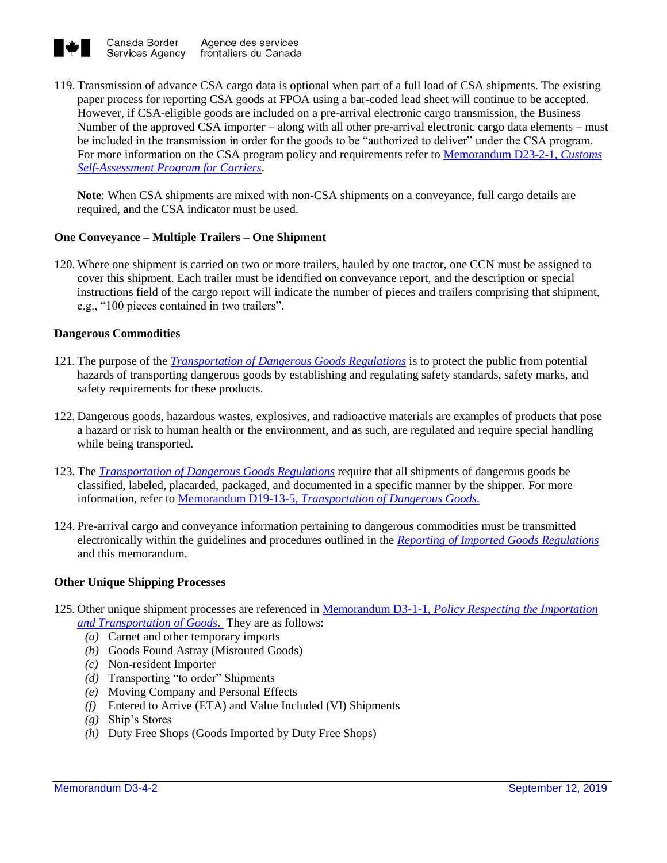

119. Transmission of advance CSA cargo data is optional when part of a full load of CSA shipments. The existing paper process for reporting CSA goods at FPOA using a bar-coded lead sheet will continue to be accepted. However, if CSA-eligible goods are included on a pre-arrival electronic cargo transmission, the Business Number of the approved CSA importer – along with all other pre-arrival electronic cargo data elements – must be included in the transmission in order for the goods to be "authorized to deliver" under the CSA program. For more information on the CSA program policy and requirements refer to [Memorandum D23-2-1](http://www.cbsa-asfc.gc.ca/publications/dm-md/d23/d23-2-1-eng.html)*, Customs Self-Assessment [Program for Carriers](http://www.cbsa-asfc.gc.ca/publications/dm-md/d23/d23-2-1-eng.html)*.

**Note**: When CSA shipments are mixed with non-CSA shipments on a conveyance, full cargo details are required, and the CSA indicator must be used.

## **One Conveyance – Multiple Trailers – One Shipment**

120. Where one shipment is carried on two or more trailers, hauled by one tractor, one CCN must be assigned to cover this shipment. Each trailer must be identified on conveyance report, and the description or special instructions field of the cargo report will indicate the number of pieces and trailers comprising that shipment, e.g., "100 pieces contained in two trailers".

## **Dangerous Commodities**

- 121. The purpose of the *[Transportation of Dangerous Goods Regulations](https://laws-lois.justice.gc.ca/eng/regulations/SOR-2001-286/index.html)* is to protect the public from potential hazards of transporting dangerous goods by establishing and regulating safety standards, safety marks, and safety requirements for these products.
- 122. Dangerous goods, hazardous wastes, explosives, and radioactive materials are examples of products that pose a hazard or risk to human health or the environment, and as such, are regulated and require special handling while being transported.
- 123. The *[Transportation of Dangerous Goods Regulations](https://laws-lois.justice.gc.ca/eng/regulations/SOR-2001-286/index.html)* require that all shipments of dangerous goods be classified, labeled, placarded, packaged, and documented in a specific manner by the shipper. For more information, refer to Memorandum D19-13-5, *[Transportation of Dangerous Goods](http://www.cbsa-asfc.gc.ca/publications/dm-md/d19/d19-13-5-eng.html)*.
- 124. Pre-arrival cargo and conveyance information pertaining to dangerous commodities must be transmitted electronically within the guidelines and procedures outlined in the *[Reporting of Imported Goods Regulations](http://laws-lois.justice.gc.ca/eng/regulations/SOR-86-873/index.html)* and this memorandum.

## **Other Unique Shipping Processes**

- 125. Other unique shipment processes are referenced in Memorandum D3-1-1, *[Policy Respecting the Importation](http://www.cbsa-asfc.gc.ca/publications/dm-md/d3/d3-1-1-eng.html)  [and Transportation of Goods](http://www.cbsa-asfc.gc.ca/publications/dm-md/d3/d3-1-1-eng.html)*. They are as follows:
	- *(a)* Carnet and other temporary imports
	- *(b)* Goods Found Astray (Misrouted Goods)
	- *(c)* Non-resident Importer
	- *(d)* Transporting "to order" Shipments
	- *(e)* Moving Company and Personal Effects
	- *(f)* Entered to Arrive (ETA) and Value Included (VI) Shipments
	- *(g)* Ship's Stores
	- *(h)* Duty Free Shops (Goods Imported by Duty Free Shops)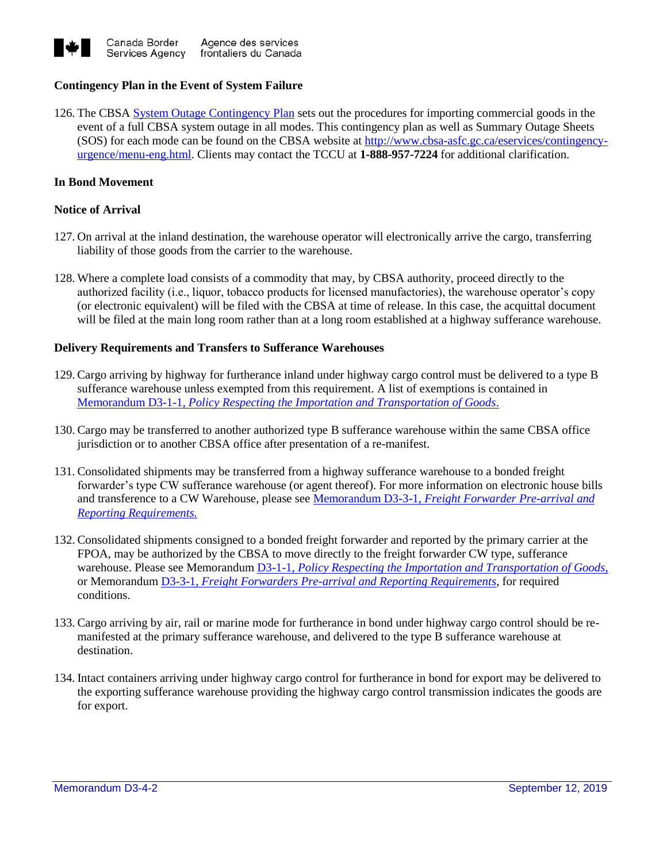

## **Contingency Plan in the Event of System Failure**

126. The CBSA [System Outage Contingency Plan](https://www.cbsa-asfc.gc.ca/eservices/contingency-urgence/menu-eng.html) sets out the procedures for importing commercial goods in the event of a full CBSA system outage in all modes. This contingency plan as well as Summary Outage Sheets (SOS) for each mode can be found on the CBSA website at [http://www.cbsa-asfc.gc.ca/eservices/contingency](http://www.cbsa-asfc.gc.ca/eservices/contingency-urgence/menu-eng.html)[urgence/menu-eng.html.](http://www.cbsa-asfc.gc.ca/eservices/contingency-urgence/menu-eng.html) Clients may contact the TCCU at **1-888-957-7224** for additional clarification.

#### **In Bond Movement**

## **Notice of Arrival**

- 127. On arrival at the inland destination, the warehouse operator will electronically arrive the cargo, transferring liability of those goods from the carrier to the warehouse.
- 128. Where a complete load consists of a commodity that may, by CBSA authority, proceed directly to the authorized facility (i.e., liquor, tobacco products for licensed manufactories), the warehouse operator's copy (or electronic equivalent) will be filed with the CBSA at time of release. In this case, the acquittal document will be filed at the main long room rather than at a long room established at a highway sufferance warehouse.

#### **Delivery Requirements and Transfers to Sufferance Warehouses**

- 129. Cargo arriving by highway for furtherance inland under highway cargo control must be delivered to a type B sufferance warehouse unless exempted from this requirement. A list of exemptions is contained in Memorandum D3-1-1, *[Policy Respecting the Importation and Transportation of Goods](http://www.cbsa-asfc.gc.ca/publications/dm-md/d3/d3-1-1-eng.html)*.
- 130. Cargo may be transferred to another authorized type B sufferance warehouse within the same CBSA office jurisdiction or to another CBSA office after presentation of a re-manifest.
- 131. Consolidated shipments may be transferred from a highway sufferance warehouse to a bonded freight forwarder's type CW sufferance warehouse (or agent thereof). For more information on electronic house bills and transference to a CW Warehouse, please see Memorandum D3-3-1, *[Freight Forwarder Pre-arrival and](https://www.cbsa-asfc.gc.ca/publications/dm-md/d3/d3-3-1-eng.html)  [Reporting Requirements.](https://www.cbsa-asfc.gc.ca/publications/dm-md/d3/d3-3-1-eng.html)*
- 132. Consolidated shipments consigned to a bonded freight forwarder and reported by the primary carrier at the FPOA, may be authorized by the CBSA to move directly to the freight forwarder CW type, sufferance warehouse. Please see Memorandum D3-1-1, *[Policy Respecting the Importation and Transportation of Goods](https://www.cbsa-asfc.gc.ca/publications/dm-md/d3/d3-1-1-eng.html#wb-info)*, or Memorandum D3-3-1, *[Freight Forwarders Pre-arrival and Reporting Requirements](https://www.cbsa-asfc.gc.ca/publications/dm-md/d3/d3-3-1-eng.html)*, for required conditions.
- 133. Cargo arriving by air, rail or marine mode for furtherance in bond under highway cargo control should be remanifested at the primary sufferance warehouse, and delivered to the type B sufferance warehouse at destination.
- 134. Intact containers arriving under highway cargo control for furtherance in bond for export may be delivered to the exporting sufferance warehouse providing the highway cargo control transmission indicates the goods are for export.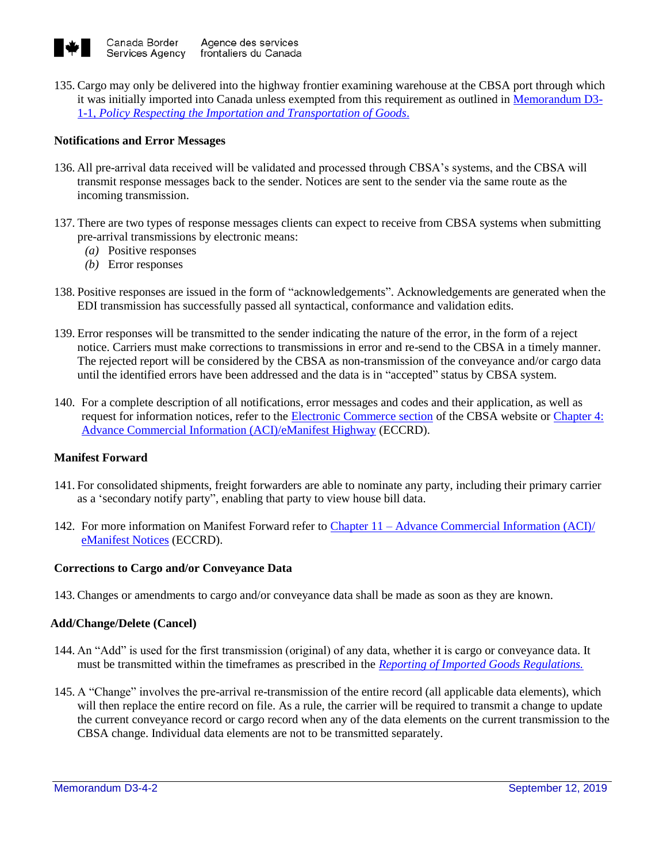

135. Cargo may only be delivered into the highway frontier examining warehouse at the CBSA port through which it was initially imported into Canada unless exempted from this requirement as outlined in [Memorandum D3-](http://www.cbsa-asfc.gc.ca/publications/dm-md/d3/d3-1-1-eng.html) 1-1, *Policy Respecting [the Importation and Transportation of Goods](http://www.cbsa-asfc.gc.ca/publications/dm-md/d3/d3-1-1-eng.html)*.

## **Notifications and Error Messages**

- 136. All pre-arrival data received will be validated and processed through CBSA's systems, and the CBSA will transmit response messages back to the sender. Notices are sent to the sender via the same route as the incoming transmission.
- 137. There are two types of response messages clients can expect to receive from CBSA systems when submitting pre-arrival transmissions by electronic means:
	- *(a)* Positive responses
	- *(b)* Error responses
- 138. Positive responses are issued in the form of "acknowledgements". Acknowledgements are generated when the EDI transmission has successfully passed all syntactical, conformance and validation edits.
- 139. Error responses will be transmitted to the sender indicating the nature of the error, in the form of a reject notice. Carriers must make corrections to transmissions in error and re-send to the CBSA in a timely manner. The rejected report will be considered by the CBSA as non-transmission of the conveyance and/or cargo data until the identified errors have been addressed and the data is in "accepted" status by CBSA system.
- 140. For a complete description of all notifications, error messages and codes and their application, as well as request for information notices, refer to the [Electronic Commerce section](http://www.cbsa-asfc.gc.ca/eservices/menu-eng.html) of the CBSA website or [Chapter 4:](https://www.cbsa-asfc.gc.ca/eservices/eccrd-eng.html)  [Advance Commercial Information \(ACI\)/eManifest Highway](https://www.cbsa-asfc.gc.ca/eservices/eccrd-eng.html) (ECCRD).

#### **Manifest Forward**

- 141. For consolidated shipments, freight forwarders are able to nominate any party, including their primary carrier as a 'secondary notify party", enabling that party to view house bill data.
- 142. For more information on Manifest Forward refer to Chapter 11 [Advance Commercial Information \(ACI\)/](http://www.cbsa-asfc.gc.ca/eservices/eccrd-eng.html) [eManifest Notices](http://www.cbsa-asfc.gc.ca/eservices/eccrd-eng.html) (ECCRD).

#### **Corrections to Cargo and/or Conveyance Data**

143. Changes or amendments to cargo and/or conveyance data shall be made as soon as they are known.

#### **Add/Change/Delete (Cancel)**

- 144. An "Add" is used for the first transmission (original) of any data, whether it is cargo or conveyance data. It must be transmitted within the timeframes as prescribed in the *[Reporting of Imported Goods Regulations.](http://laws-lois.justice.gc.ca/eng/regulations/SOR-86-873/index.html)*
- 145. A "Change" involves the pre-arrival re-transmission of the entire record (all applicable data elements), which will then replace the entire record on file. As a rule, the carrier will be required to transmit a change to update the current conveyance record or cargo record when any of the data elements on the current transmission to the CBSA change. Individual data elements are not to be transmitted separately.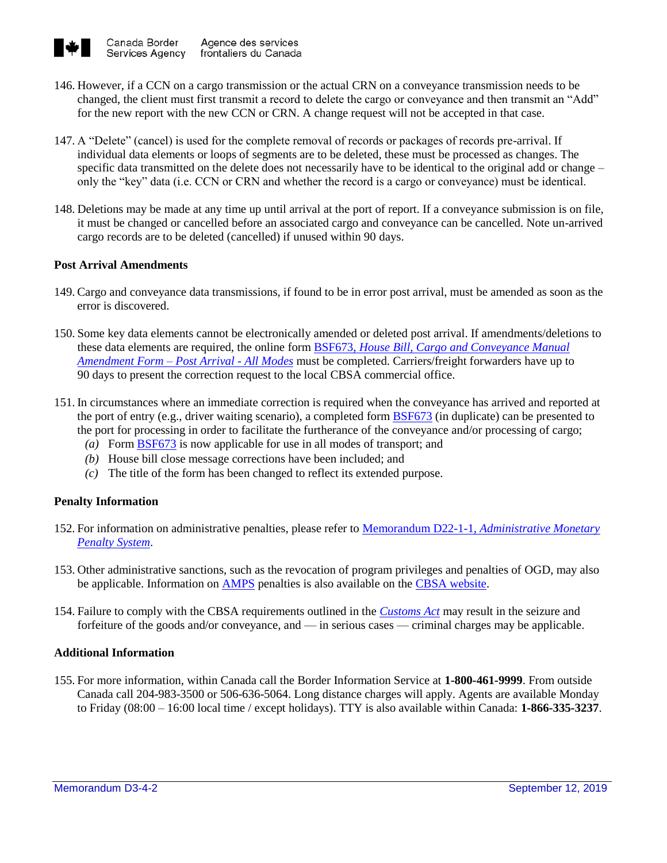

- 146. However, if a CCN on a cargo transmission or the actual CRN on a conveyance transmission needs to be changed, the client must first transmit a record to delete the cargo or conveyance and then transmit an "Add" for the new report with the new CCN or CRN. A change request will not be accepted in that case.
- 147. A "Delete" (cancel) is used for the complete removal of records or packages of records pre-arrival. If individual data elements or loops of segments are to be deleted, these must be processed as changes. The specific data transmitted on the delete does not necessarily have to be identical to the original add or change – only the "key" data (i.e. CCN or CRN and whether the record is a cargo or conveyance) must be identical.
- 148. Deletions may be made at any time up until arrival at the port of report. If a conveyance submission is on file, it must be changed or cancelled before an associated cargo and conveyance can be cancelled. Note un-arrived cargo records are to be deleted (cancelled) if unused within 90 days.

## **Post Arrival Amendments**

- 149. Cargo and conveyance data transmissions, if found to be in error post arrival, must be amended as soon as the error is discovered.
- 150. Some key data elements cannot be electronically amended or deleted post arrival. If amendments/deletions to these data elements are required, the online form BSF673, *[House Bill, Cargo and Conveyance Manual](https://www.cbsa-asfc.gc.ca/publications/forms-formulaires/bsf673-eng.html)  [Amendment Form –](https://www.cbsa-asfc.gc.ca/publications/forms-formulaires/bsf673-eng.html) Post Arrival - All Modes* must be completed. Carriers/freight forwarders have up to 90 days to present the correction request to the local CBSA commercial office.
- 151. In circumstances where an immediate correction is required when the conveyance has arrived and reported at the port of entry (e.g., driver waiting scenario), a completed form [BSF673](http://www.cbsa-asfc.gc.ca/publications/forms-formulaires/bsf673-eng.html) (in duplicate) can be presented to the port for processing in order to facilitate the furtherance of the conveyance and/or processing of cargo;
	- *(a)* Form [BSF673](http://www.cbsa-asfc.gc.ca/publications/forms-formulaires/bsf673-eng.html) is now applicable for use in all modes of transport; and
	- *(b)* House bill close message corrections have been included; and
	- *(c)* The title of the form has been changed to reflect its extended purpose.

## **Penalty Information**

- 152. For information on administrative penalties, please refer to Memorandum D22-1-1, *[Administrative Monetary](http://www.cbsa-asfc.gc.ca/publications/dm-md/d22/d22-1-1-eng.html)  [Penalty System](http://www.cbsa-asfc.gc.ca/publications/dm-md/d22/d22-1-1-eng.html)*.
- 153. Other administrative sanctions, such as the revocation of program privileges and penalties of OGD, may also be applicable. Information on [AMPS](https://www.cbsa-asfc.gc.ca/trade-commerce/amps/menu-eng.html) penalties is also available on the [CBSA website.](https://www.cbsa-asfc.gc.ca/trade-commerce/amps/menu-eng.html)
- 154. Failure to comply with the CBSA requirements outlined in the *[Customs Act](http://laws-lois.justice.gc.ca/eng/acts/C-52.6/FullText.html)* may result in the seizure and forfeiture of the goods and/or conveyance, and — in serious cases — criminal charges may be applicable.

#### **Additional Information**

155. For more information, within Canada call the Border Information Service at **1-800-461-9999**. From outside Canada call 204-983-3500 or 506-636-5064. Long distance charges will apply. Agents are available Monday to Friday (08:00 – 16:00 local time / except holidays). TTY is also available within Canada: **1-866-335-3237**.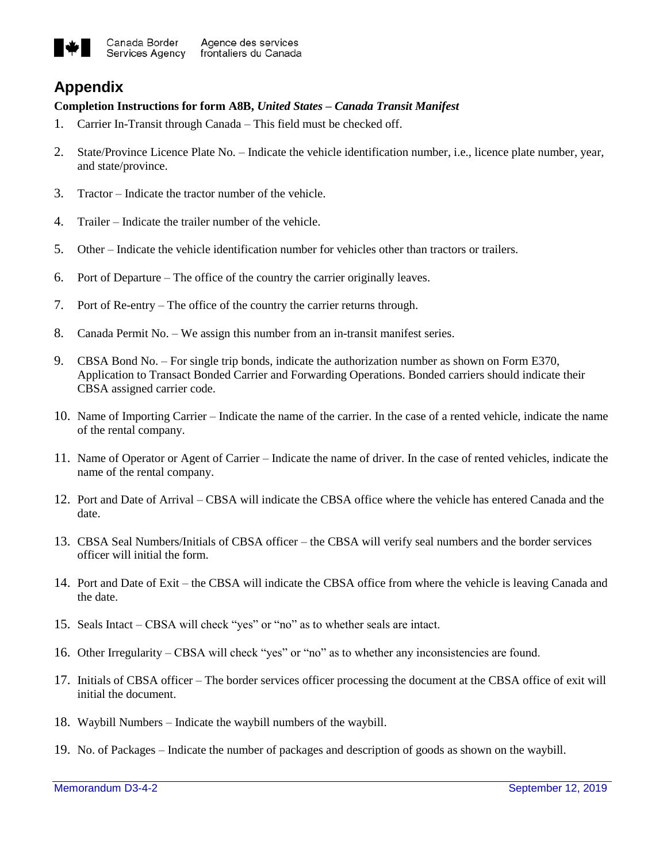

# **Appendix**

## **Completion Instructions for form A8B,** *United States – Canada Transit Manifest*

- 1. Carrier In-Transit through Canada This field must be checked off.
- 2. State/Province Licence Plate No. Indicate the vehicle identification number, i.e., licence plate number, year, and state/province.
- 3. Tractor Indicate the tractor number of the vehicle.
- 4. Trailer Indicate the trailer number of the vehicle.
- 5. Other Indicate the vehicle identification number for vehicles other than tractors or trailers.
- 6. Port of Departure The office of the country the carrier originally leaves.
- 7. Port of Re-entry The office of the country the carrier returns through.
- 8. Canada Permit No. We assign this number from an in-transit manifest series.
- 9. CBSA Bond No. For single trip bonds, indicate the authorization number as shown on Form E370, Application to Transact Bonded Carrier and Forwarding Operations. Bonded carriers should indicate their CBSA assigned carrier code.
- 10. Name of Importing Carrier Indicate the name of the carrier. In the case of a rented vehicle, indicate the name of the rental company.
- 11. Name of Operator or Agent of Carrier Indicate the name of driver. In the case of rented vehicles, indicate the name of the rental company.
- 12. Port and Date of Arrival CBSA will indicate the CBSA office where the vehicle has entered Canada and the date.
- 13. CBSA Seal Numbers/Initials of CBSA officer the CBSA will verify seal numbers and the border services officer will initial the form.
- 14. Port and Date of Exit the CBSA will indicate the CBSA office from where the vehicle is leaving Canada and the date.
- 15. Seals Intact CBSA will check "yes" or "no" as to whether seals are intact.
- 16. Other Irregularity CBSA will check "yes" or "no" as to whether any inconsistencies are found.
- 17. Initials of CBSA officer The border services officer processing the document at the CBSA office of exit will initial the document.
- 18. Waybill Numbers Indicate the waybill numbers of the waybill.
- 19. No. of Packages Indicate the number of packages and description of goods as shown on the waybill.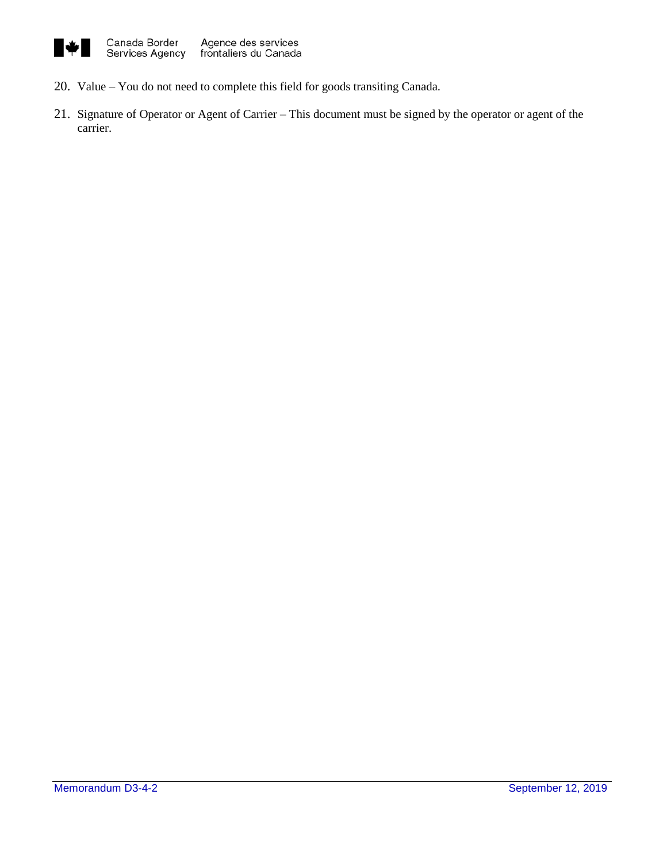

- 20. Value You do not need to complete this field for goods transiting Canada.
- 21. Signature of Operator or Agent of Carrier This document must be signed by the operator or agent of the carrier.